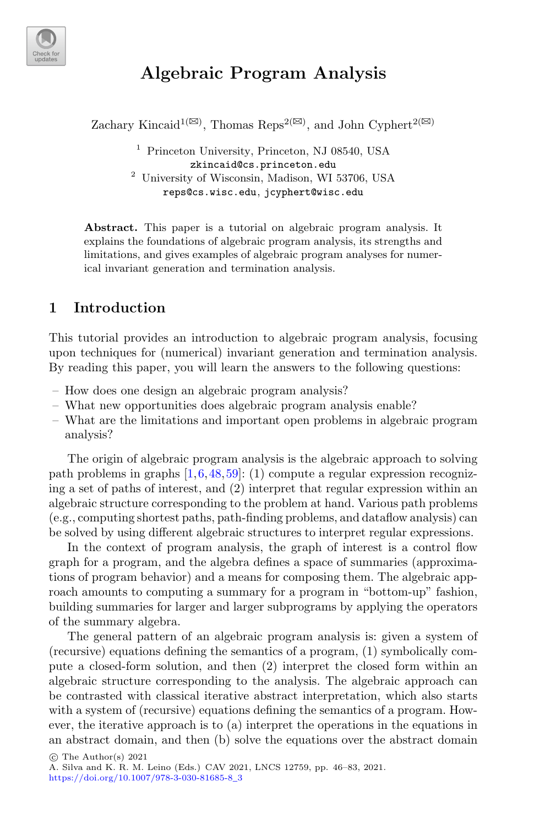

# **Algebraic Program Analysis**

Zachary Kincaid<sup>1( $\boxtimes$ )</sup>, Thomas Reps<sup>2( $\boxtimes$ )</sup>, and John Cyphert<sup>2( $\boxtimes$ )</sub></sup>

<sup>1</sup> Princeton University, Princeton, NJ 08540, USA zkincaid@cs.princeton.edu <sup>2</sup> University of Wisconsin, Madison, WI 53706, USA reps@cs.wisc.edu, jcyphert@wisc.edu

**Abstract.** This paper is a tutorial on algebraic program analysis. It explains the foundations of algebraic program analysis, its strengths and limitations, and gives examples of algebraic program analyses for numerical invariant generation and termination analysis.

## **1 Introduction**

This tutorial provides an introduction to algebraic program analysis, focusing upon techniques for (numerical) invariant generation and termination analysis. By reading this paper, you will learn the answers to the following questions:

- How does one design an algebraic program analysis?
- What new opportunities does algebraic program analysis enable?
- What are the limitations and important open problems in algebraic program analysis?

The origin of algebraic program analysis is the algebraic approach to solving path problems in graphs [\[1](#page-34-0),[6,](#page-34-1)[48,](#page-36-0)[59](#page-37-0)]: (1) compute a regular expression recognizing a set of paths of interest, and (2) interpret that regular expression within an algebraic structure corresponding to the problem at hand. Various path problems (e.g., computing shortest paths, path-finding problems, and dataflow analysis) can be solved by using different algebraic structures to interpret regular expressions.

In the context of program analysis, the graph of interest is a control flow graph for a program, and the algebra defines a space of summaries (approximations of program behavior) and a means for composing them. The algebraic approach amounts to computing a summary for a program in "bottom-up" fashion, building summaries for larger and larger subprograms by applying the operators of the summary algebra.

The general pattern of an algebraic program analysis is: given a system of (recursive) equations defining the semantics of a program, (1) symbolically compute a closed-form solution, and then (2) interpret the closed form within an algebraic structure corresponding to the analysis. The algebraic approach can be contrasted with classical iterative abstract interpretation, which also starts with a system of (recursive) equations defining the semantics of a program. However, the iterative approach is to (a) interpret the operations in the equations in an abstract domain, and then (b) solve the equations over the abstract domain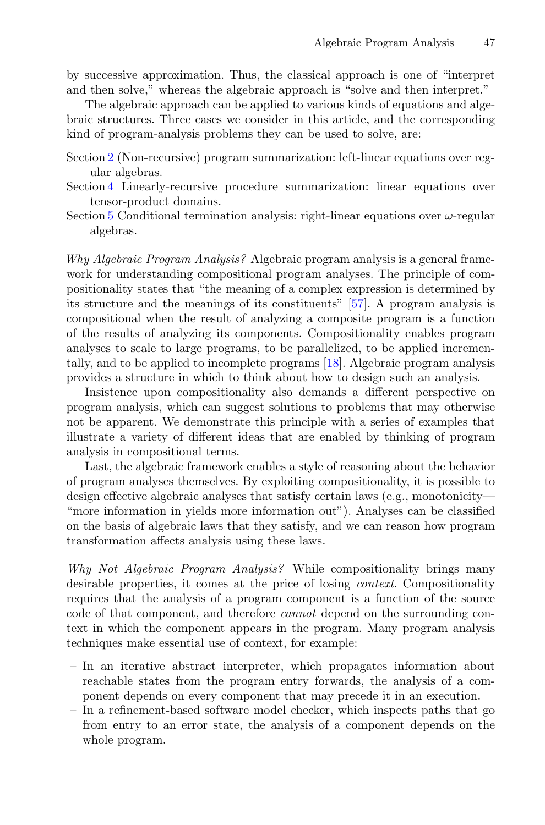by successive approximation. Thus, the classical approach is one of "interpret and then solve," whereas the algebraic approach is "solve and then interpret."

The algebraic approach can be applied to various kinds of equations and algebraic structures. Three cases we consider in this article, and the corresponding kind of program-analysis problems they can be used to solve, are:

- Section [2](#page-2-0) (Non-recursive) program summarization: left-linear equations over regular algebras.
- Section [4](#page-15-0) Linearly-recursive procedure summarization: linear equations over tensor-product domains.
- Section [5](#page-25-0) Conditional termination analysis: right-linear equations over  $\omega$ -regular algebras.

*Why Algebraic Program Analysis?* Algebraic program analysis is a general framework for understanding compositional program analyses. The principle of compositionality states that "the meaning of a complex expression is determined by its structure and the meanings of its constituents" [\[57](#page-37-1)]. A program analysis is compositional when the result of analyzing a composite program is a function of the results of analyzing its components. Compositionality enables program analyses to scale to large programs, to be parallelized, to be applied incrementally, and to be applied to incomplete programs [\[18](#page-35-0)]. Algebraic program analysis provides a structure in which to think about how to design such an analysis.

Insistence upon compositionality also demands a different perspective on program analysis, which can suggest solutions to problems that may otherwise not be apparent. We demonstrate this principle with a series of examples that illustrate a variety of different ideas that are enabled by thinking of program analysis in compositional terms.

Last, the algebraic framework enables a style of reasoning about the behavior of program analyses themselves. By exploiting compositionality, it is possible to design effective algebraic analyses that satisfy certain laws (e.g., monotonicity— "more information in yields more information out"). Analyses can be classified on the basis of algebraic laws that they satisfy, and we can reason how program transformation affects analysis using these laws.

*Why Not Algebraic Program Analysis?* While compositionality brings many desirable properties, it comes at the price of losing *context*. Compositionality requires that the analysis of a program component is a function of the source code of that component, and therefore *cannot* depend on the surrounding context in which the component appears in the program. Many program analysis techniques make essential use of context, for example:

- In an iterative abstract interpreter, which propagates information about reachable states from the program entry forwards, the analysis of a component depends on every component that may precede it in an execution.
- In a refinement-based software model checker, which inspects paths that go from entry to an error state, the analysis of a component depends on the whole program.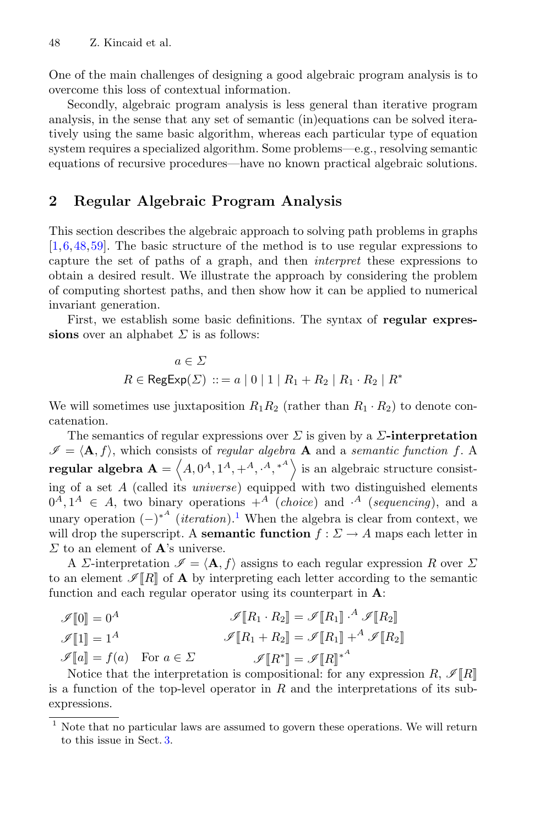One of the main challenges of designing a good algebraic program analysis is to overcome this loss of contextual information.

Secondly, algebraic program analysis is less general than iterative program analysis, in the sense that any set of semantic (in)equations can be solved iteratively using the same basic algorithm, whereas each particular type of equation system requires a specialized algorithm. Some problems—e.g., resolving semantic equations of recursive procedures—have no known practical algebraic solutions.

## <span id="page-2-0"></span>**2 Regular Algebraic Program Analysis**

This section describes the algebraic approach to solving path problems in graphs [\[1](#page-34-0),[6,](#page-34-1)[48](#page-36-0)[,59](#page-37-0)]. The basic structure of the method is to use regular expressions to capture the set of paths of a graph, and then *interpret* these expressions to obtain a desired result. We illustrate the approach by considering the problem of computing shortest paths, and then show how it can be applied to numerical invariant generation.

First, we establish some basic definitions. The syntax of **regular expressions** over an alphabet  $\Sigma$  is as follows:

$$
a \in \Sigma
$$
  

$$
R \in \text{RegExp}(\Sigma) ::= a \mid 0 \mid 1 \mid R_1 + R_2 \mid R_1 \cdot R_2 \mid R^*
$$

We will sometimes use juxtaposition  $R_1R_2$  (rather than  $R_1 \cdot R_2$ ) to denote concatenation.

The semantics of regular expressions over Σ is given by a Σ**-interpretation**  $\mathscr{I} = \langle \mathbf{A}, f \rangle$ , which consists of *regular algebra* **A** and a *semantic function* f. A **regular algebra A** =  $\langle A, 0^A, 1^A, +^A, \cdot^A, *^A \rangle$  is an algebraic structure consisting of a set A (called its *universe*) equipped with two distinguished elements  $0^A, 1^A \in A$ , two binary operations  $+^A$  (*choice*) and  $\cdot^A$  (*sequencing*), and a unary operation  $(-)^{*^A}$  (*iteration*).<sup>[1](#page-2-1)</sup> When the algebra is clear from context, we will drop the superscript. A **semantic function**  $f : \Sigma \to A$  maps each letter in  $\Sigma$  to an element of  $\mathbf{A}$ 's universe.

A *Σ*-interpretation  $\mathscr{I} = \langle \mathbf{A}, f \rangle$  assigns to each regular expression R over *Σ* to an element  $\mathcal{I}[\![R]\!]$  of **A** by interpreting each letter according to the semantic function and each regular operator using its counterpart in **A**:

$$
\mathscr{I}[\![0]\!] = 0^A \qquad \qquad \mathscr{I}[\![R_1 \cdot R_2]\!] = \mathscr{I}[\![R_1]\!] \cdot^A \mathscr{I}[\![R_2]\!]
$$
  

$$
\mathscr{I}[\![1]\!] = 1^A \qquad \qquad \mathscr{I}[\![R_1 + R_2]\!] = \mathscr{I}[\![R_1]\!] +^A \mathscr{I}[\![R_2]\!]
$$
  

$$
\mathscr{I}[\![a]\!] = f(a) \quad \text{For } a \in \Sigma \qquad \qquad \mathscr{I}[\![R^*]\!] = \mathscr{I}[\![R]\!]^{*^A}
$$

Notice that the interpretation is compositional: for any expression  $R, \mathscr{I}[\![R]\!]$ is a function of the top-level operator in  $R$  and the interpretations of its subexpressions.

<span id="page-2-2"></span><span id="page-2-1"></span> $^{\rm 1}$  Note that no particular laws are assumed to govern these operations. We will return to this issue in Sect. [3.](#page-8-0)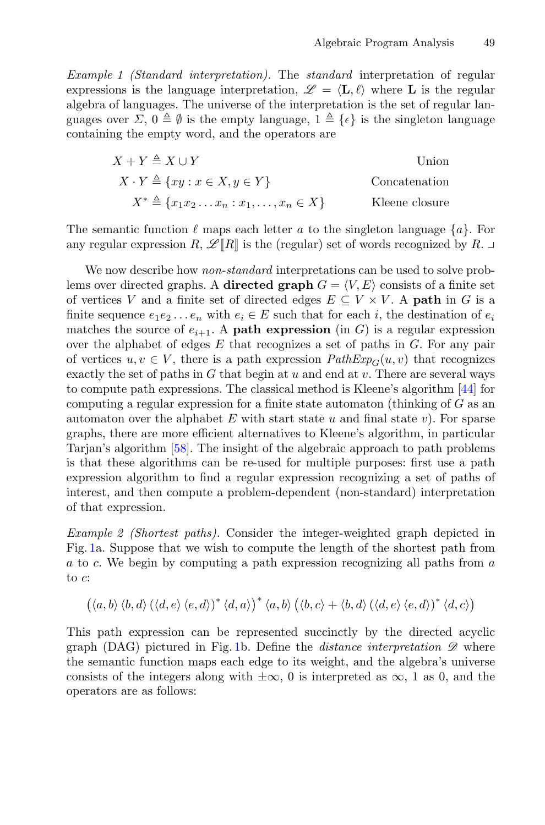*Example 1 (Standard interpretation).* The *standard* interpretation of regular expressions is the language interpretation,  $\mathscr{L} = \langle \mathbf{L}, \ell \rangle$  where **L** is the regular algebra of languages. The universe of the interpretation is the set of regular languages over  $\Sigma$ ,  $0 \triangleq \emptyset$  is the empty language,  $1 \triangleq \{\epsilon\}$  is the singleton language containing the empty word, and the operators are

$$
X + Y \triangleq X \cup Y
$$
Union  

$$
X \cdot Y \triangleq \{xy : x \in X, y \in Y\}
$$
Concatenation  

$$
X^* \triangleq \{x_1 x_2 ... x_n : x_1, ..., x_n \in X\}
$$
Kleene closure

The semantic function  $\ell$  maps each letter a to the singleton language  $\{a\}$ . For any regular expression  $R$ ,  $\mathcal{L}[[R]]$  is the (regular) set of words recognized by  $R$ .

We now describe how *non-standard* interpretations can be used to solve problems over directed graphs. A **directed graph**  $G = \langle V, E \rangle$  consists of a finite set of vertices V and a finite set of directed edges  $E \subseteq V \times V$ . A **path** in G is a finite sequence  $e_1e_2 \ldots e_n$  with  $e_i \in E$  such that for each i, the destination of  $e_i$ matches the source of  $e_{i+1}$ . A **path expression** (in G) is a regular expression over the alphabet of edges  $E$  that recognizes a set of paths in  $G$ . For any pair of vertices  $u, v \in V$ , there is a path expression  $PathExp_G(u, v)$  that recognizes exactly the set of paths in  $G$  that begin at  $u$  and end at  $v$ . There are several ways to compute path expressions. The classical method is Kleene's algorithm [\[44\]](#page-36-1) for computing a regular expression for a finite state automaton (thinking of  $G$  as an automaton over the alphabet  $E$  with start state  $u$  and final state  $v$ ). For sparse graphs, there are more efficient alternatives to Kleene's algorithm, in particular Tarjan's algorithm [\[58](#page-37-2)]. The insight of the algebraic approach to path problems is that these algorithms can be re-used for multiple purposes: first use a path expression algorithm to find a regular expression recognizing a set of paths of interest, and then compute a problem-dependent (non-standard) interpretation of that expression.

*Example 2 (Shortest paths).* Consider the integer-weighted graph depicted in Fig. [1a](#page-4-0). Suppose that we wish to compute the length of the shortest path from a to c. We begin by computing a path expression recognizing all paths from a to c:

$$
(\langle a,b\rangle \langle b,d\rangle (\langle d,e\rangle \langle e,d\rangle)^* \langle d,a\rangle)^* \langle a,b\rangle (\langle b,c\rangle + \langle b,d\rangle (\langle d,e\rangle \langle e,d\rangle)^* \langle d,c\rangle)
$$

This path expression can be represented succinctly by the directed acyclic graph (DAG) pictured in Fig. [1b](#page-4-0). Define the *distance interpretation D* where the semantic function maps each edge to its weight, and the algebra's universe consists of the integers along with  $\pm \infty$ , 0 is interpreted as  $\infty$ , 1 as 0, and the operators are as follows: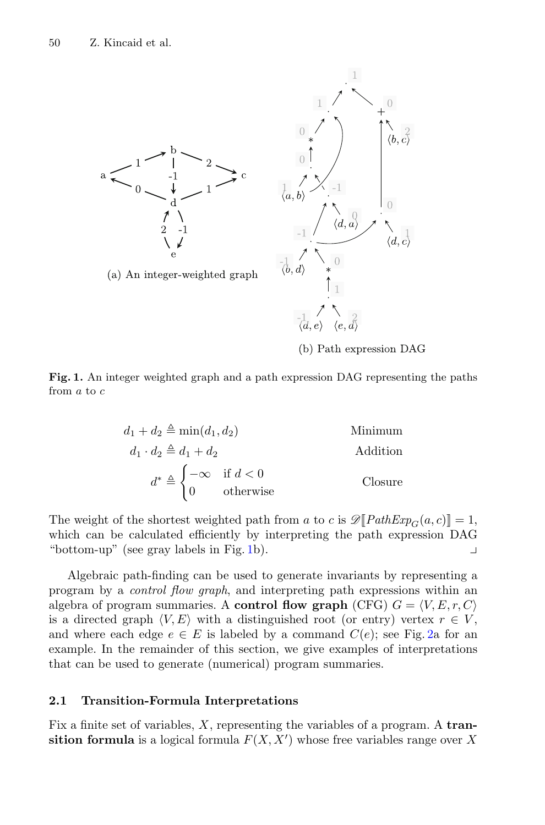

(b) Path expression DAG

<span id="page-4-0"></span>**Fig. 1.** An integer weighted graph and a path expression DAG representing the paths from a to c

$$
d_1 + d_2 \triangleq \min(d_1, d_2)
$$
 Minimum  
\n
$$
d_1 \cdot d_2 \triangleq d_1 + d_2
$$
 Addition  
\n
$$
d^* \triangleq \begin{cases} -\infty & \text{if } d < 0 \\ 0 & \text{otherwise} \end{cases}
$$
 Closure

The weight of the shortest weighted path from a to c is  $\mathscr{D}[\mathit{PathExp}_G(a, c)] = 1$ , which can be calculated efficiently by interpreting the path expression DAG "bottom-up" (see gray labels in Fig. [1b](#page-4-0)).  $\Box$ 

Algebraic path-finding can be used to generate invariants by representing a program by a *control flow graph*, and interpreting path expressions within an algebra of program summaries. A **control flow graph** (CFG)  $G = \langle V, E, r, C \rangle$ is a directed graph  $\langle V, E \rangle$  with a distinguished root (or entry) vertex  $r \in V$ , and where each edge  $e \in E$  is labeled by a command  $C(e)$ ; see Fig. [2a](#page-10-0) for an example. In the remainder of this section, we give examples of interpretations that can be used to generate (numerical) program summaries.

#### <span id="page-4-1"></span>**2.1 Transition-Formula Interpretations**

Fix a finite set of variables, X, representing the variables of a program. A **transition formula** is a logical formula  $F(X, X')$  whose free variables range over X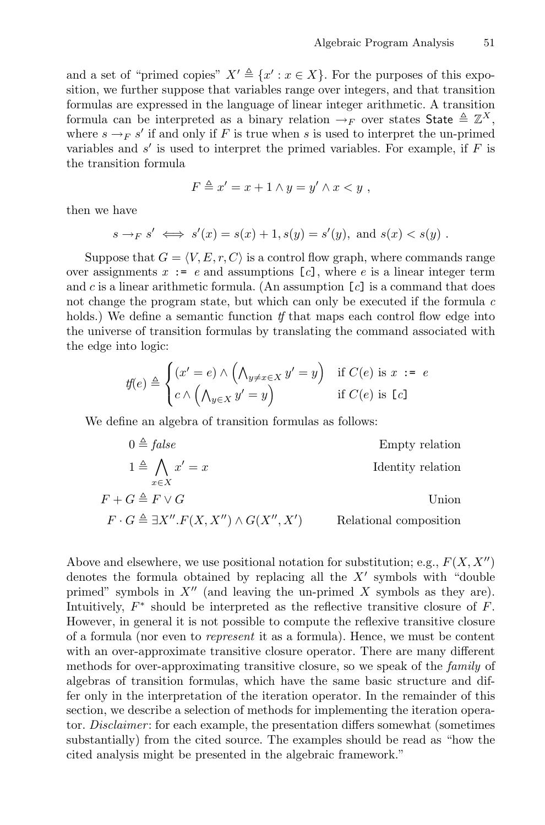and a set of "primed copies"  $X' \triangleq \{x' : x \in X\}$ . For the purposes of this exposition, we further suppose that variables range over integers, and that transition formulas are expressed in the language of linear integer arithmetic. A transition formula can be interpreted as a binary relation  $\rightarrow_F$  over states  $\text{State} \triangleq \mathbb{Z}^X$ ,<br>where  $s \rightarrow_E s'$  if and only if F is true when s is used to interpret the un-primed where  $s \rightarrow_F s'$  if and only if F is true when s is used to interpret the un-primed variables and  $s'$  is used to interpret the primed variables. For example, if  $F$  is the transition formula

$$
F \triangleq x' = x + 1 \wedge y = y' \wedge x < y \; ,
$$

then we have

 $s \to s' \iff s'(x) = s(x) + 1, s(y) = s'(y), \text{ and } s(x) < s(y)$ .

Suppose that  $G = \langle V, E, r, C \rangle$  is a control flow graph, where commands range over assignments  $x := e$  and assumptions  $[c]$ , where e is a linear integer term and c is a linear arithmetic formula. (An assumption [*c*] is a command that does not change the program state, but which can only be executed if the formula *c* holds.) We define a semantic function  $f$  that maps each control flow edge into the universe of transition formulas by translating the command associated with the edge into logic:

$$
tf(e) \triangleq \begin{cases} (x'=e) \land \left(\bigwedge_{y \neq x \in X} y'=y\right) & \text{if } C(e) \text{ is } x := e \\ c \land \left(\bigwedge_{y \in X} y'=y\right) & \text{if } C(e) \text{ is } [c] \end{cases}
$$

We define an algebra of transition formulas as follows:

$$
0 \triangleq false
$$
Empty relation  
\n
$$
1 \triangleq \bigwedge_{x \in X} x' = x
$$
Identity relation  
\n
$$
F + G \triangleq F \vee G
$$
Union  
\n
$$
F \cdot G \triangleq \exists X''.F(X, X'') \wedge G(X'', X')
$$
Relational composition

Above and elsewhere, we use positional notation for substitution; e.g.,  $F(X, X'')$ denotes the formula obtained by replacing all the  $X'$  symbols with "double" primed" symbols in  $X''$  (and leaving the un-primed X symbols as they are). Intuitively,  $F^*$  should be interpreted as the reflective transitive closure of  $F$ . However, in general it is not possible to compute the reflexive transitive closure of a formula (nor even to *represent* it as a formula). Hence, we must be content with an over-approximate transitive closure operator. There are many different methods for over-approximating transitive closure, so we speak of the *family* of algebras of transition formulas, which have the same basic structure and differ only in the interpretation of the iteration operator. In the remainder of this section, we describe a selection of methods for implementing the iteration operator. *Disclaimer*: for each example, the presentation differs somewhat (sometimes) substantially) from the cited source. The examples should be read as "how the cited analysis might be presented in the algebraic framework."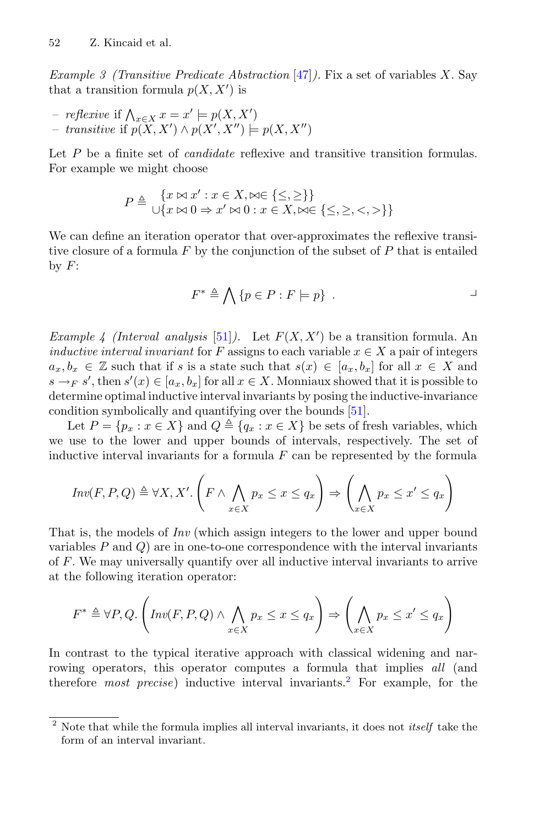*Example 3 (Transitive Predicate Abstraction* [\[47](#page-36-2)]*).* Fix a set of variables X. Say that a transition formula  $p(X, X')$  is

– *reflexive* if  $\bigwedge_{x \in X} x = x' \models p(X, X')$ *− transitive* if  $p(X, X') \wedge p(X', X'')$   $\models p(X, X'')$ 

Let P be a finite set of *candidate* reflexive and transitive transition formulas. For example we might choose

$$
P \triangleq \{x \bowtie x' : x \in X, \bowtie \in \{\leq, \geq\}\}\n\cup \{x \bowtie 0 \Rightarrow x' \bowtie 0 : x \in X, \bowtie \in \{\leq, \geq, \lt,
$$

We can define an iteration operator that over-approximates the reflexive transitive closure of a formula  $F$  by the conjunction of the subset of  $P$  that is entailed by  $F$ :

$$
F^* \triangleq \bigwedge \{ p \in P : F \models p \} .
$$

<span id="page-6-1"></span>*Example 4 (Interval analysis* [\[51](#page-36-3)]). Let  $F(X, X')$  be a transition formula. An *inductive interval invariant* for F assigns to each variable  $x \in X$  a pair of integers  $a_x, b_x \in \mathbb{Z}$  such that if s is a state such that  $s(x) \in [a_x, b_x]$  for all  $x \in X$  and  $s \to F s'$ , then  $s'(x) \in [a_x, b_x]$  for all  $x \in X$ . Monniaux showed that it is possible to determine optimal inductive interval invariants by posing the inductive-invariance condition symbolically and quantifying over the bounds [\[51\]](#page-36-3).

Let  $P = \{p_x : x \in X\}$  and  $Q \triangleq \{q_x : x \in X\}$  be sets of fresh variables, which we use to the lower and upper bounds of intervals, respectively. The set of inductive interval invariants for a formula  $F$  can be represented by the formula

$$
Inv(F, P, Q) \triangleq \forall X, X'. \left( F \land \bigwedge_{x \in X} p_x \le x \le q_x \right) \Rightarrow \left( \bigwedge_{x \in X} p_x \le x' \le q_x \right)
$$

That is, the models of *Inv* (which assign integers to the lower and upper bound variables  $P$  and  $Q$ ) are in one-to-one correspondence with the interval invariants of F. We may universally quantify over all inductive interval invariants to arrive at the following iteration operator:

$$
F^* \triangleq \forall P, Q. \left( Inv(F, P, Q) \land \bigwedge_{x \in X} p_x \le x \le q_x \right) \Rightarrow \left( \bigwedge_{x \in X} p_x \le x' \le q_x \right)
$$

In contrast to the typical iterative approach with classical widening and narrowing operators, this operator computes a formula that implies *all* (and therefore *most precise*) inductive interval invariants.[2](#page-6-0) For example, for the

<span id="page-6-0"></span><sup>2</sup> Note that while the formula implies all interval invariants, it does not *itself* take the form of an interval invariant.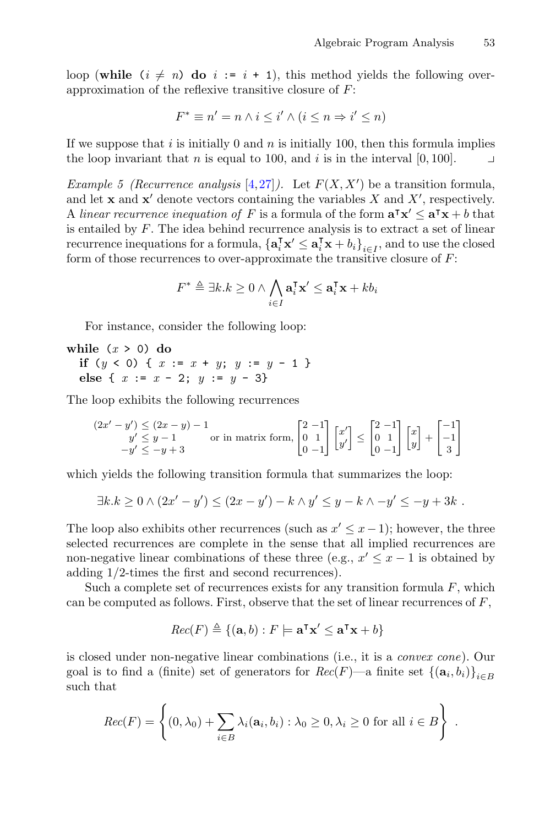loop (while  $(i \neq n)$  do  $i := i + 1$ ), this method yields the following overapproximation of the reflexive transitive closure of F:

$$
F^* \equiv n' = n \land i \leq i' \land (i \leq n \Rightarrow i' \leq n)
$$

If we suppose that i is initially 0 and n is initially 100, then this formula implies the loop invariant that *n* is equal to 100, and *i* is in the interval [0, 100].

<span id="page-7-0"></span>*Example 5 (Recurrence analysis*  $[4,27]$  $[4,27]$  $[4,27]$ ). Let  $F(X, X')$  be a transition formula, and let  $\mathbf x$  and  $\mathbf x'$  denote vectors containing the variables  $X$  and  $X'$ , respectively. A *linear recurrence inequation of* F is a formula of the form  $\mathbf{a}^{\mathsf{T}} \mathbf{x}' \leq \mathbf{a}^{\mathsf{T}} \mathbf{x} + b$  that is entailed by F. The idea behind recurrence analysis is to extract a set of linear recurrence inequations for a formula,  ${\{\mathbf a_i^{\mathsf{T}}\mathbf x' \leq \mathbf a_i^{\mathsf{T}}\mathbf x + b_i\}}_{i \in I}$ , and to use the closed form of those recurrences to over-approximate the transitive closure of  $F$ :

$$
F^* \triangleq \exists k. k \ge 0 \land \bigwedge_{i \in I} \mathbf{a}_i^{\mathsf{T}} \mathbf{x}' \le \mathbf{a}_i^{\mathsf{T}} \mathbf{x} + k b_i
$$

For instance, consider the following loop:

**while** (*x* > 0) **do if**  $(y < 0)$  {  $x := x + y$ ;  $y := y - 1$ } **else** { *x* := *x* - 2; *y* := *y* - 3}

The loop exhibits the following recurrences

$$
(2x'-y') \le (2x-y)-1
$$
  
y' \le y-1 or in matrix form, 
$$
\begin{bmatrix} 2 & -1 \\ 0 & 1 \\ 0 & -1 \end{bmatrix} \begin{bmatrix} x' \\ y' \end{bmatrix} \le \begin{bmatrix} 2 & -1 \\ 0 & 1 \\ 0 & -1 \end{bmatrix} \begin{bmatrix} x \\ y \end{bmatrix} + \begin{bmatrix} -1 \\ -1 \\ 3 \end{bmatrix}
$$
  
-y' \le -y+3

which yields the following transition formula that summarizes the loop:

$$
\exists k.k \ge 0 \land (2x'-y') \le (2x-y') - k \land y' \le y - k \land -y' \le -y + 3k \; .
$$

The loop also exhibits other recurrences (such as  $x' \leq x-1$ ); however, the three selected recurrences are complete in the sense that all implied recurrences are non-negative linear combinations of these three (e.g.,  $x' \leq x - 1$  is obtained by adding 1/2-times the first and second recurrences).

Such a complete set of recurrences exists for any transition formula  $F$ , which can be computed as follows. First, observe that the set of linear recurrences of  $F$ ,

$$
Rec(F) \triangleq \{(\mathbf{a}, b) : F \models \mathbf{a}^{\mathsf{T}} \mathbf{x}' \leq \mathbf{a}^{\mathsf{T}} \mathbf{x} + b\}
$$

is closed under non-negative linear combinations (i.e., it is a *convex cone*). Our goal is to find a (finite) set of generators for  $Rec(F)$ —a finite set  $\{(\mathbf{a}_i, b_i)\}_{i\in B}$ such that

$$
Rec(F) = \left\{ (0, \lambda_0) + \sum_{i \in B} \lambda_i(\mathbf{a}_i, b_i) : \lambda_0 \ge 0, \lambda_i \ge 0 \text{ for all } i \in B \right\}.
$$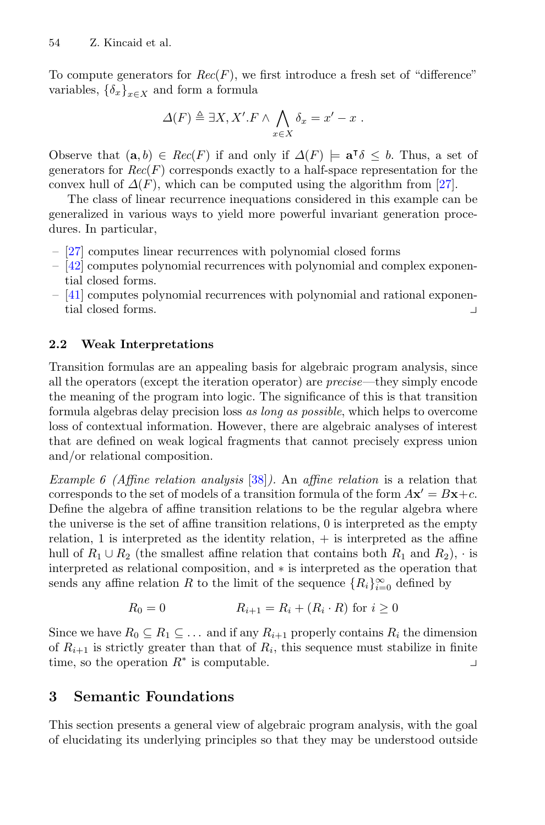To compute generators for  $Rec(F)$ , we first introduce a fresh set of "difference" variables,  $\{\delta_x\}_{x\in X}$  and form a formula

$$
\Delta(F) \triangleq \exists X, X'.F \wedge \bigwedge_{x \in X} \delta_x = x' - x \; .
$$

Observe that  $(a, b) \in Rec(F)$  if and only if  $\Delta(F) \models a^{\dagger}b \leq b$ . Thus, a set of generators for  $Rec(F)$  corresponds exactly to a half-space representation for the convex hull of  $\Delta(F)$ , which can be computed using the algorithm from [\[27](#page-35-1)].

The class of linear recurrence inequations considered in this example can be generalized in various ways to yield more powerful invariant generation procedures. In particular,

- [\[27](#page-35-1)] computes linear recurrences with polynomial closed forms
- [\[42](#page-36-4)] computes polynomial recurrences with polynomial and complex exponential closed forms.
- [\[41](#page-36-5)] computes polynomial recurrences with polynomial and rational exponential closed forms. ⌟

### **2.2 Weak Interpretations**

Transition formulas are an appealing basis for algebraic program analysis, since all the operators (except the iteration operator) are *precise*—they simply encode the meaning of the program into logic. The significance of this is that transition formula algebras delay precision loss *as long as possible*, which helps to overcome loss of contextual information. However, there are algebraic analyses of interest that are defined on weak logical fragments that cannot precisely express union and/or relational composition.

<span id="page-8-1"></span>*Example 6 (Affine relation analysis* [\[38\]](#page-36-6)*).* An *affine relation* is a relation that corresponds to the set of models of a transition formula of the form  $A\mathbf{x}' = B\mathbf{x}+c$ . Define the algebra of affine transition relations to be the regular algebra where the universe is the set of affine transition relations, 0 is interpreted as the empty relation, 1 is interpreted as the identity relation, + is interpreted as the affine hull of  $R_1 \cup R_2$  (the smallest affine relation that contains both  $R_1$  and  $R_2$ ), · is interpreted as relational composition, and ∗ is interpreted as the operation that sends any affine relation R to the limit of the sequence  $\{R_i\}_{i=0}^{\infty}$  defined by

$$
R_0 = 0
$$
  $R_{i+1} = R_i + (R_i \cdot R)$  for  $i \ge 0$ 

Since we have  $R_0 \subseteq R_1 \subseteq \ldots$  and if any  $R_{i+1}$  properly contains  $R_i$  the dimension of  $R_{i+1}$  is strictly greater than that of  $R_i$ , this sequence must stabilize in finite time, so the operation  $R^*$  is computable. ⊿

## <span id="page-8-0"></span>**3 Semantic Foundations**

This section presents a general view of algebraic program analysis, with the goal of elucidating its underlying principles so that they may be understood outside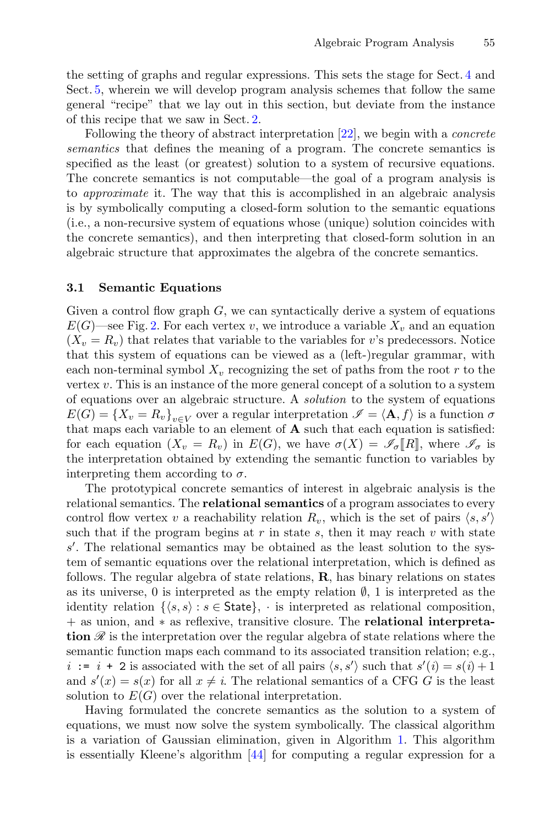the setting of graphs and regular expressions. This sets the stage for Sect. [4](#page-15-0) and Sect. [5,](#page-25-0) wherein we will develop program analysis schemes that follow the same general "recipe" that we lay out in this section, but deviate from the instance of this recipe that we saw in Sect. [2.](#page-2-0)

Following the theory of abstract interpretation [\[22](#page-35-2)], we begin with a *concrete semantics* that defines the meaning of a program. The concrete semantics is specified as the least (or greatest) solution to a system of recursive equations. The concrete semantics is not computable—the goal of a program analysis is to *approximate* it. The way that this is accomplished in an algebraic analysis is by symbolically computing a closed-form solution to the semantic equations (i.e., a non-recursive system of equations whose (unique) solution coincides with the concrete semantics), and then interpreting that closed-form solution in an algebraic structure that approximates the algebra of the concrete semantics.

#### <span id="page-9-0"></span>**3.1 Semantic Equations**

Given a control flow graph  $G$ , we can syntactically derive a system of equations  $E(G)$ —see Fig. [2.](#page-10-0) For each vertex v, we introduce a variable  $X_v$  and an equation  $(X_v = R_v)$  that relates that variable to the variables for v's predecessors. Notice that this system of equations can be viewed as a (left-)regular grammar, with each non-terminal symbol  $X_v$  recognizing the set of paths from the root r to the vertex  $v$ . This is an instance of the more general concept of a solution to a system of equations over an algebraic structure. A *solution* to the system of equations  $E(G) = \{X_v = R_v\}_{v \in V}$  over a regular interpretation  $\mathscr{I} = \langle \mathbf{A}, f \rangle$  is a function  $\sigma$ that maps each variable to an element of **A** such that each equation is satisfied: for each equation  $(X_v = R_v)$  in  $E(G)$ , we have  $\sigma(X) = \mathscr{I}_{\sigma}[R]$ , where  $\mathscr{I}_{\sigma}$  is the interpretation obtained by extending the semantic function to variables by interpreting them according to  $\sigma$ .

The prototypical concrete semantics of interest in algebraic analysis is the relational semantics. The **relational semantics** of a program associates to every control flow vertex v a reachability relation  $R_v$ , which is the set of pairs  $\langle s, s' \rangle$ such that if the program begins at  $r$  in state  $s$ , then it may reach  $v$  with state s . The relational semantics may be obtained as the least solution to the system of semantic equations over the relational interpretation, which is defined as follows. The regular algebra of state relations, **R**, has binary relations on states as its universe, 0 is interpreted as the empty relation  $\emptyset$ , 1 is interpreted as the identity relation  $\{\langle s, s \rangle : s \in \mathsf{State}\},\cdot$  is interpreted as relational composition, + as union, and ∗ as reflexive, transitive closure. The **relational interpretation** *R* is the interpretation over the regular algebra of state relations where the semantic function maps each command to its associated transition relation; e.g.,  $i := i + 2$  is associated with the set of all pairs  $\langle s, s' \rangle$  such that  $s'(i) = s(i) + 1$ and  $s'(x) = s(x)$  for all  $x \neq i$ . The relational semantics of a CFG G is the least solution to  $E(G)$  over the relational interpretation.

Having formulated the concrete semantics as the solution to a system of equations, we must now solve the system symbolically. The classical algorithm is a variation of Gaussian elimination, given in Algorithm [1.](#page-11-0) This algorithm is essentially Kleene's algorithm [\[44](#page-36-1)] for computing a regular expression for a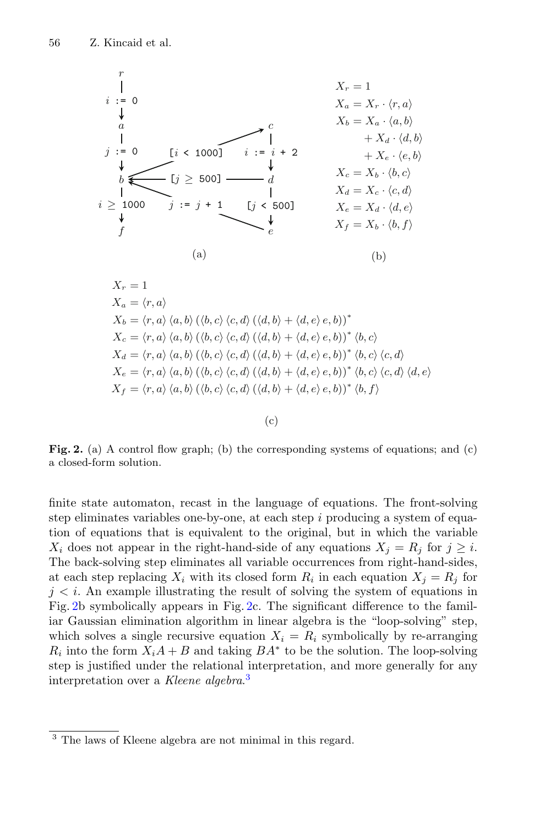

$$
X_b = \langle r, a \rangle \langle a, b \rangle (\langle b, c \rangle \langle c, d \rangle (\langle d, b \rangle + \langle d, e \rangle e, b))^*
$$
  
\n
$$
X_c = \langle r, a \rangle \langle a, b \rangle (\langle b, c \rangle \langle c, d \rangle (\langle d, b \rangle + \langle d, e \rangle e, b))^* \langle b, c \rangle
$$
  
\n
$$
X_d = \langle r, a \rangle \langle a, b \rangle (\langle b, c \rangle \langle c, d \rangle (\langle d, b \rangle + \langle d, e \rangle e, b))^* \langle b, c \rangle \langle c, d \rangle
$$
  
\n
$$
X_e = \langle r, a \rangle \langle a, b \rangle (\langle b, c \rangle \langle c, d \rangle (\langle d, b \rangle + \langle d, e \rangle e, b))^* \langle b, c \rangle \langle c, d \rangle \langle d, e \rangle
$$
  
\n
$$
X_f = \langle r, a \rangle \langle a, b \rangle (\langle b, c \rangle \langle c, d \rangle (\langle d, b \rangle + \langle d, e \rangle e, b))^* \langle b, f \rangle
$$

(c)

<span id="page-10-0"></span>Fig. 2. (a) A control flow graph; (b) the corresponding systems of equations; and (c) a closed-form solution.

finite state automaton, recast in the language of equations. The front-solving step eliminates variables one-by-one, at each step  $i$  producing a system of equation of equations that is equivalent to the original, but in which the variable  $X_i$  does not appear in the right-hand-side of any equations  $X_j = R_j$  for  $j \geq i$ . The back-solving step eliminates all variable occurrences from right-hand-sides, at each step replacing  $X_i$  with its closed form  $R_i$  in each equation  $X_i = R_i$  for  $j < i$ . An example illustrating the result of solving the system of equations in Fig. [2b](#page-10-0) symbolically appears in Fig. [2c](#page-10-0). The significant difference to the familiar Gaussian elimination algorithm in linear algebra is the "loop-solving" step, which solves a single recursive equation  $X_i = R_i$  symbolically by re-arranging  $R_i$  into the form  $X_iA + B$  and taking  $BA^*$  to be the solution. The loop-solving step is justified under the relational interpretation, and more generally for any interpretation over a *Kleene algebra*. [3](#page-10-1)

<span id="page-10-2"></span><span id="page-10-1"></span><sup>3</sup> The laws of Kleene algebra are not minimal in this regard.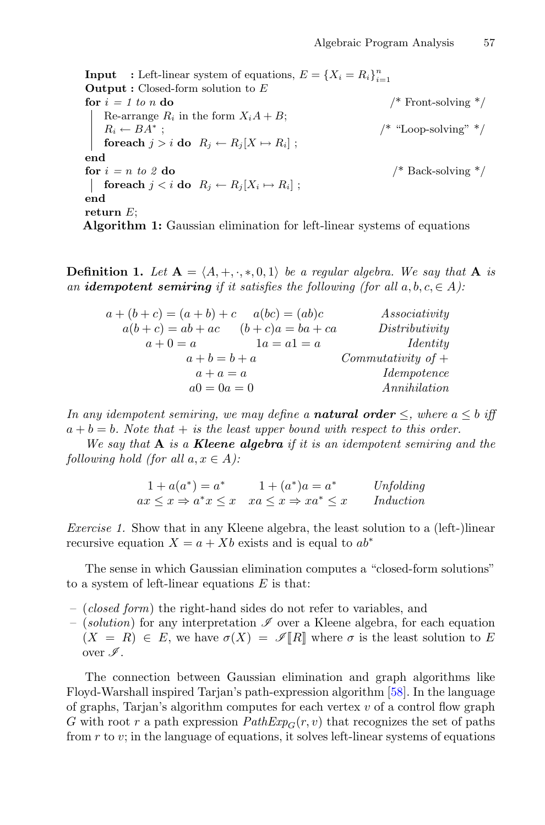**Input** : Left-linear system of equations,  $E = \{X_i = R_i\}_{i=1}^n$ **Output :** Closed-form solution to E **for**  $i = 1$  to n **do**  $\qquad \qquad$  /\* Front-solving \*/ Re-arrange  $R_i$  in the form  $X_iA + B$ ;<br> $R_i \leftarrow BA^*$ ;  $R_i \leftarrow BA^*$ ; /\* "Loop-solving" \*/ **foreach**  $j>i$  **do**  $R_j \leftarrow R_j[X \mapsto R_i]$ ; **end for**  $i = n$  *to* 2 **do** /\* Back-solving \*/ **foreach**  $j < i$  **do**  $R_j \leftarrow R_j |X_i \mapsto R_i|$ ; **end return** E; **Algorithm 1:** Gaussian elimination for left-linear systems of equations

<span id="page-11-0"></span>**Definition 1.** Let  $\mathbf{A} = \langle A, +, \cdot, *, 0, 1 \rangle$  be a regular algebra. We say that  $\mathbf{A}$  is an *idempotent semiring* if it satisfies the following (for all  $a, b, c \in A$ ):

| $a + (b + c) = (a + b) + c$ $a(bc) = (ab)c$ | Associativity        |
|---------------------------------------------|----------------------|
| $a(b + c) = ab + ac$ $(b + c)a = ba + ca$   | Distributivity       |
| $a + 0 = a$ $1a = a1 = a$                   | Identity             |
| $a+b=b+a$                                   | $Commutativity of +$ |
| $a + a = a$                                 | Idempotence          |
| $a0 = 0a = 0$                               | Annihilation         |

*In any idempotent semiring, we may define a <i>natural order*  $\leq$ , where  $a \leq b$  iff  $a + b = b$ . Note that  $+$  *is the least upper bound with respect to this order.* 

*We say that* **A** *is a Kleene algebra if it is an idempotent semiring and the following hold (for all*  $a, x \in A$ ):

> $1 + a(a^*) = a^*$   $1 + (a^*)a = a^*$  *Unfolding*  $ax \leq x \Rightarrow a^*x \leq x \quad xa \leq x \Rightarrow xa^* \leq x \quad Induction$

*Exercise 1.* Show that in any Kleene algebra, the least solution to a (left-)linear recursive equation  $X = a + Xb$  exists and is equal to  $ab^*$ 

The sense in which Gaussian elimination computes a "closed-form solutions" to a system of left-linear equations  $E$  is that:

- (*closed form*) the right-hand sides do not refer to variables, and
- (*solution*) for any interpretation  $\mathscr I$  over a Kleene algebra, for each equation  $(X = R) \in E$ , we have  $\sigma(X) = \mathcal{I}[R]$  where  $\sigma$  is the least solution to E over  $\mathscr I$ .

The connection between Gaussian elimination and graph algorithms like Floyd-Warshall inspired Tarjan's path-expression algorithm [\[58](#page-37-2)]. In the language of graphs, Tarjan's algorithm computes for each vertex  $v$  of a control flow graph G with root r a path expression  $PathExp_G(r, v)$  that recognizes the set of paths from  $r$  to  $v$ ; in the language of equations, it solves left-linear systems of equations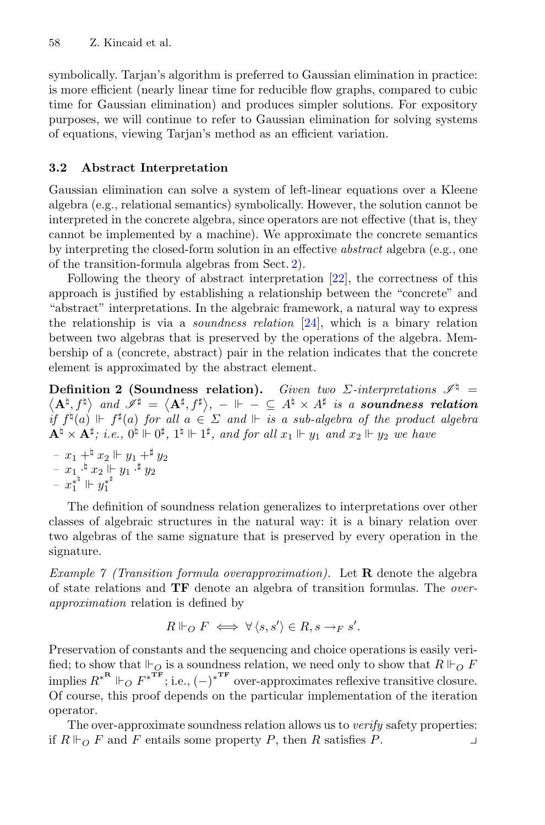symbolically. Tarjan's algorithm is preferred to Gaussian elimination in practice: is more efficient (nearly linear time for reducible flow graphs, compared to cubic time for Gaussian elimination) and produces simpler solutions. For expository purposes, we will continue to refer to Gaussian elimination for solving systems of equations, viewing Tarjan's method as an efficient variation.

### **3.2 Abstract Interpretation**

Gaussian elimination can solve a system of left-linear equations over a Kleene algebra (e.g., relational semantics) symbolically. However, the solution cannot be interpreted in the concrete algebra, since operators are not effective (that is, they cannot be implemented by a machine). We approximate the concrete semantics by interpreting the closed-form solution in an effective *abstract* algebra (e.g., one of the transition-formula algebras from Sect. [2\)](#page-2-0).

Following the theory of abstract interpretation [\[22\]](#page-35-2), the correctness of this approach is justified by establishing a relationship between the "concrete" and "abstract" interpretations. In the algebraic framework, a natural way to express the relationship is via a *soundness relation* [\[24\]](#page-35-3), which is a binary relation between two algebras that is preserved by the operations of the algebra. Membership of a (concrete, abstract) pair in the relation indicates that the concrete element is approximated by the abstract element.

**Definition 2 (Soundness relation).** *Given two*  $\Sigma$ -interpretations  $\mathscr{I}^{\natural}$  =  $\langle \mathbf{A}^{\sharp}, f^{\sharp} \rangle$  and  $\mathscr{I}^{\sharp} = \langle \mathbf{A}^{\sharp}, f^{\sharp} \rangle$ ,  $- \Vdash - \subseteq A^{\sharp} \times A^{\sharp}$  is a **soundness relation** *if*  $f^{\sharp}(a) \Vdash f^{\sharp}(a)$  *for all*  $a \in \Sigma$  *and*  $\Vdash$  *is a sub-algebra of the product algebra*  $\mathbf{A}^{\natural} \times \mathbf{A}^{\sharp}$ ; *i.e.*,  $0^{\natural} \Vdash 0^{\sharp}$ ,  $1^{\natural} \Vdash 1^{\sharp}$ , and for all  $x_1 \Vdash y_1$  and  $x_2 \Vdash y_2$  we have

 $- x_1 +^{\sharp} x_2 \Vdash y_1 +^{\sharp} y_2$  $- x_1$ <sup>1</sup>,  $x_2 \Vdash y_1$ <sup>1</sup>,  $y_2$  $- x_1^{*^{\natural}} \Vdash y_1^{*^{\sharp}}$ 

The definition of soundness relation generalizes to interpretations over other classes of algebraic structures in the natural way: it is a binary relation over two algebras of the same signature that is preserved by every operation in the signature.

<span id="page-12-0"></span>*Example 7 (Transition formula overapproximation).* Let **R** denote the algebra of state relations and **TF** denote an algebra of transition formulas. The *overapproximation* relation is defined by

$$
R \Vdash_{O} F \iff \forall \langle s, s' \rangle \in R, s \to_{F} s'.
$$

Preservation of constants and the sequencing and choice operations is easily verified; to show that  $\mathbb{F}_Q$  is a soundness relation, we need only to show that  $R \mathbb{F}_Q F$ implies  $R^{*^R} \Vdash^O F^{*^T}$ ; i.e.,  $(-)^{*^T}$  over-approximates reflexive transitive closure. Of course, this proof depends on the particular implementation of the iteration operator.

The over-approximate soundness relation allows us to *verify* safety properties: if  $R \Vdash_{\Omega} F$  and F entails some property P, then R satisfies P.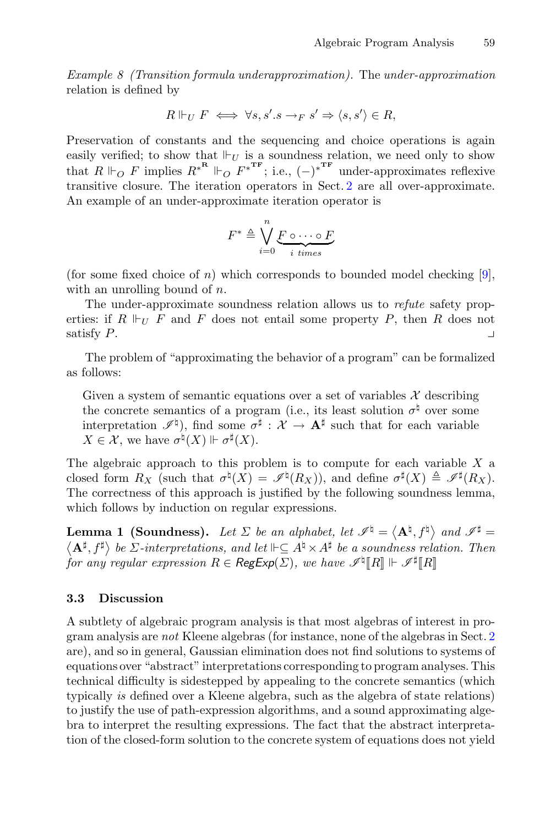*Example 8 (Transition formula underapproximation).* The *under-approximation* relation is defined by

$$
R \Vdash_{U} F \iff \forall s, s'.s \to_{F} s' \Rightarrow \langle s, s' \rangle \in R,
$$

Preservation of constants and the sequencing and choice operations is again easily verified; to show that  $\Vdash_U$  is a soundness relation, we need only to show that  $R \Vdash_{O} F$  implies  $R^{*^{\mathbf{R}}} \Vdash_{O} F^{*^{\mathbf{TF}}}$ ; i.e.,  $(-)^{*^{\mathbf{TF}}}$  under-approximates reflexive transitive closure. The iteration operators in Sect. [2](#page-2-0) are all over-approximate. An example of an under-approximate iteration operator is

$$
F^* \triangleq \bigvee_{i=0}^n \underbrace{F \circ \cdots \circ F}_{i \text{ times}}
$$

(for some fixed choice of n) which corresponds to bounded model checking  $[9]$ , with an unrolling bound of  $n$ .

The under-approximate soundness relation allows us to *refute* safety properties: if  $R \Vdash_{U} F$  and F does not entail some property P, then R does not satisfy  $P$ .

The problem of "approximating the behavior of a program" can be formalized as follows:

Given a system of semantic equations over a set of variables  $\mathcal X$  describing the concrete semantics of a program (i.e., its least solution  $\sigma^{\natural}$  over some interpretation  $\mathscr{I}^{\sharp}$ ), find some  $\sigma^{\sharp}: \mathcal{X} \to \mathbf{A}^{\sharp}$  such that for each variable  $X \in \mathcal{X}$ , we have  $\sigma^{\natural}(X) \Vdash \sigma^{\sharp}(X)$ .

The algebraic approach to this problem is to compute for each variable  $X$  a closed form  $R_X$  (such that  $\sigma^{\sharp}(X) = \mathscr{I}^{\sharp}(R_X)$ ), and define  $\sigma^{\sharp}(X) \triangleq \mathscr{I}^{\sharp}(R_X)$ . The correctness of this approach is justified by the following soundness lemma, which follows by induction on regular expressions.

**Lemma 1 (Soundness).** Let  $\Sigma$  be an alphabet, let  $\mathscr{I}^{\natural} = \langle \mathbf{A}^{\natural}, f^{\natural} \rangle$  and  $\mathscr{I}^{\sharp} =$  $\langle \mathbf{A}^{\sharp}, f^{\sharp} \rangle$  be  $\Sigma$ -interpretations, and let  $\Vdash \subseteq A^{\sharp} \times A^{\sharp}$  be a soundness relation. Then *for any regular expression*  $R \in \text{RegExp}(\Sigma)$ , we have  $\mathscr{I}^{\natural}[R] \Vdash \mathscr{I}^{\sharp}[R]$ 

#### <span id="page-13-0"></span>**3.3 Discussion**

A subtlety of algebraic program analysis is that most algebras of interest in program analysis are *not* Kleene algebras (for instance, none of the algebras in Sect. [2](#page-2-0) are), and so in general, Gaussian elimination does not find solutions to systems of equations over "abstract" interpretations corresponding to program analyses. This technical difficulty is sidestepped by appealing to the concrete semantics (which typically *is* defined over a Kleene algebra, such as the algebra of state relations) to justify the use of path-expression algorithms, and a sound approximating algebra to interpret the resulting expressions. The fact that the abstract interpretation of the closed-form solution to the concrete system of equations does not yield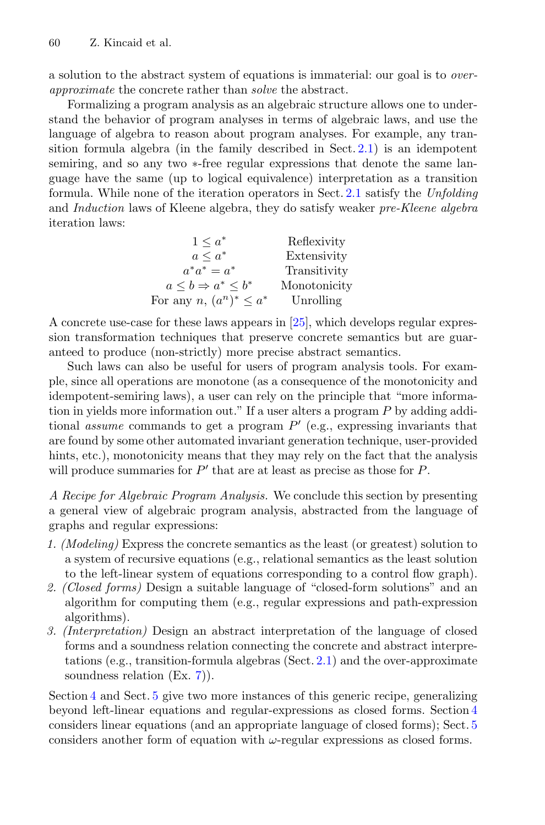a solution to the abstract system of equations is immaterial: our goal is to *overapproximate* the concrete rather than *solve* the abstract.

Formalizing a program analysis as an algebraic structure allows one to understand the behavior of program analyses in terms of algebraic laws, and use the language of algebra to reason about program analyses. For example, any transition formula algebra (in the family described in Sect. [2.1\)](#page-4-1) is an idempotent semiring, and so any two ∗-free regular expressions that denote the same language have the same (up to logical equivalence) interpretation as a transition formula. While none of the iteration operators in Sect. [2.1](#page-4-1) satisfy the *Unfolding* and *Induction* laws of Kleene algebra, they do satisfy weaker *pre-Kleene algebra* iteration laws:

| $1 \leq a^*$                        | Reflexivity  |
|-------------------------------------|--------------|
| $a \leq a^*$                        | Extensivity  |
| $a^*a^* = a^*$                      | Transitivity |
| $a \leq b \Rightarrow a^* \leq b^*$ | Monotonicity |
| For any n, $(a^n)^* \leq a^*$       | Unrolling    |
|                                     |              |

A concrete use-case for these laws appears in [\[25](#page-35-4)], which develops regular expression transformation techniques that preserve concrete semantics but are guaranteed to produce (non-strictly) more precise abstract semantics.

Such laws can also be useful for users of program analysis tools. For example, since all operations are monotone (as a consequence of the monotonicity and idempotent-semiring laws), a user can rely on the principle that "more information in yields more information out." If a user alters a program P by adding additional *assume* commands to get a program  $P'$  (e.g., expressing invariants that are found by some other automated invariant generation technique, user-provided hints, etc.), monotonicity means that they may rely on the fact that the analysis will produce summaries for  $P'$  that are at least as precise as those for  $P$ .

<span id="page-14-0"></span>*A Recipe for Algebraic Program Analysis.* We conclude this section by presenting a general view of algebraic program analysis, abstracted from the language of graphs and regular expressions:

- *1. (Modeling)* Express the concrete semantics as the least (or greatest) solution to a system of recursive equations (e.g., relational semantics as the least solution to the left-linear system of equations corresponding to a control flow graph).
- *2. (Closed forms)* Design a suitable language of "closed-form solutions" and an algorithm for computing them (e.g., regular expressions and path-expression algorithms).
- *3. (Interpretation)* Design an abstract interpretation of the language of closed forms and a soundness relation connecting the concrete and abstract interpretations (e.g., transition-formula algebras (Sect. [2.1\)](#page-4-1) and the over-approximate soundness relation (Ex. [7\)](#page-12-0)).

Section [4](#page-15-0) and Sect. [5](#page-25-0) give two more instances of this generic recipe, generalizing beyond left-linear equations and regular-expressions as closed forms. Section [4](#page-15-0) considers linear equations (and an appropriate language of closed forms); Sect. [5](#page-25-0) considers another form of equation with  $\omega$ -regular expressions as closed forms.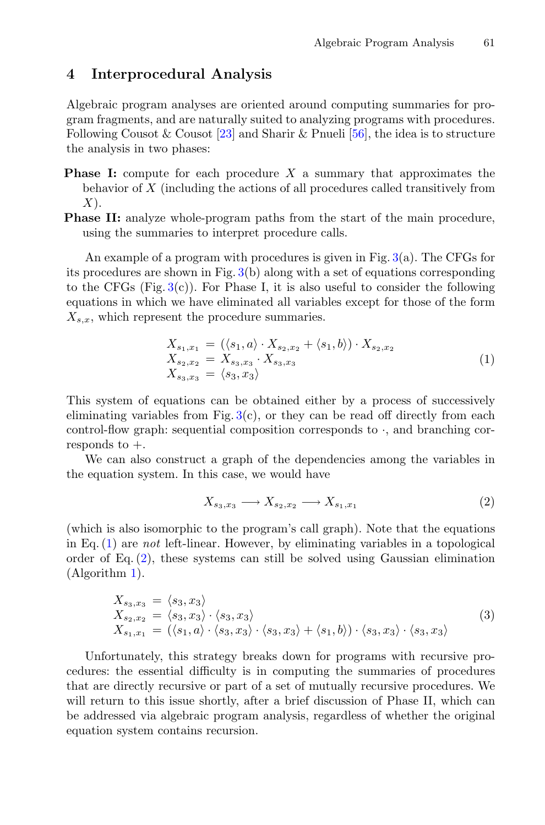## <span id="page-15-0"></span>**4 Interprocedural Analysis**

Algebraic program analyses are oriented around computing summaries for program fragments, and are naturally suited to analyzing programs with procedures. Following Cousot  $\&$  Cousot [\[23](#page-35-5)] and Sharir  $\&$  Pnueli [\[56\]](#page-37-3), the idea is to structure the analysis in two phases:

- **Phase I:** compute for each procedure X a summary that approximates the behavior of  $X$  (including the actions of all procedures called transitively from  $X$ ).
- **Phase II:** analyze whole-program paths from the start of the main procedure, using the summaries to interpret procedure calls.

An example of a program with procedures is given in Fig. [3\(](#page-16-0)a). The CFGs for its procedures are shown in Fig.  $3(b)$  $3(b)$  along with a set of equations corresponding to the CFGs (Fig.  $3(c)$  $3(c)$ ). For Phase I, it is also useful to consider the following equations in which we have eliminated all variables except for those of the form  $X_{s,x}$ , which represent the procedure summaries.

<span id="page-15-1"></span>
$$
X_{s_1,x_1} = (\langle s_1, a \rangle \cdot X_{s_2,x_2} + \langle s_1, b \rangle) \cdot X_{s_2,x_2}
$$
  
\n
$$
X_{s_2,x_2} = X_{s_3,x_3} \cdot X_{s_3,x_3}
$$
  
\n
$$
X_{s_3,x_3} = \langle s_3, x_3 \rangle
$$
\n(1)

This system of equations can be obtained either by a process of successively eliminating variables from Fig.  $3(c)$  $3(c)$ , or they can be read off directly from each control-flow graph: sequential composition corresponds to ·, and branching corresponds to  $+$ .

We can also construct a graph of the dependencies among the variables in the equation system. In this case, we would have

<span id="page-15-2"></span>
$$
X_{s_3,x_3} \longrightarrow X_{s_2,x_2} \longrightarrow X_{s_1,x_1} \tag{2}
$$

(which is also isomorphic to the program's call graph). Note that the equations in Eq. [\(1\)](#page-15-1) are *not* left-linear. However, by eliminating variables in a topological order of Eq. [\(2\)](#page-15-2), these systems can still be solved using Gaussian elimination (Algorithm [1\)](#page-11-0).

<span id="page-15-3"></span>
$$
X_{s_3,x_3} = \langle s_3, x_3 \rangle
$$
  
\n
$$
X_{s_2,x_2} = \langle s_3, x_3 \rangle \cdot \langle s_3, x_3 \rangle
$$
  
\n
$$
X_{s_1,x_1} = (\langle s_1, a \rangle \cdot \langle s_3, x_3 \rangle \cdot \langle s_3, x_3 \rangle + \langle s_1, b \rangle) \cdot \langle s_3, x_3 \rangle \cdot \langle s_3, x_3 \rangle
$$
\n(3)

Unfortunately, this strategy breaks down for programs with recursive procedures: the essential difficulty is in computing the summaries of procedures that are directly recursive or part of a set of mutually recursive procedures. We will return to this issue shortly, after a brief discussion of Phase II, which can be addressed via algebraic program analysis, regardless of whether the original equation system contains recursion.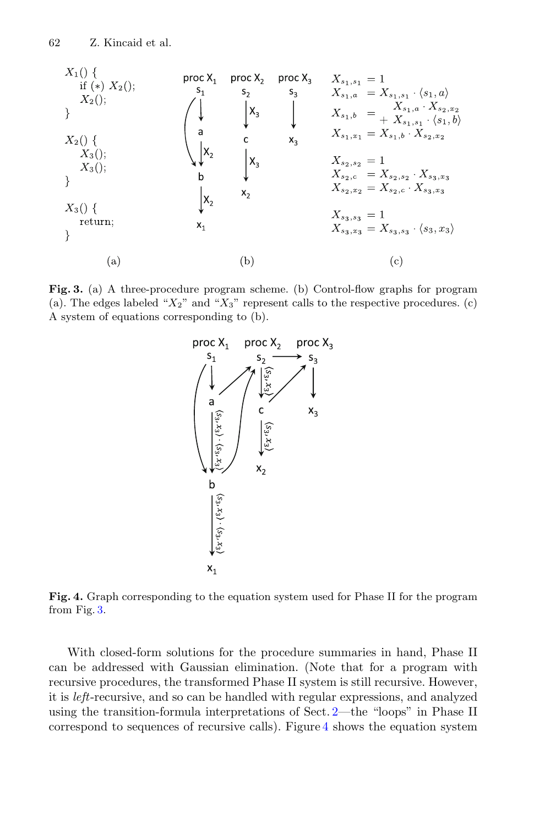

<span id="page-16-0"></span>Fig. 3. (a) A three-procedure program scheme. (b) Control-flow graphs for program (a). The edges labeled " $X_2$ " and " $X_3$ " represent calls to the respective procedures. (c) A system of equations corresponding to (b).



<span id="page-16-1"></span>**Fig. 4.** Graph corresponding to the equation system used for Phase II for the program from Fig. [3.](#page-16-0)

With closed-form solutions for the procedure summaries in hand, Phase II can be addressed with Gaussian elimination. (Note that for a program with recursive procedures, the transformed Phase II system is still recursive. However, it is *left*-recursive, and so can be handled with regular expressions, and analyzed using the transition-formula interpretations of Sect. [2—](#page-2-0)the "loops" in Phase II correspond to sequences of recursive calls). Figure [4](#page-16-1) shows the equation system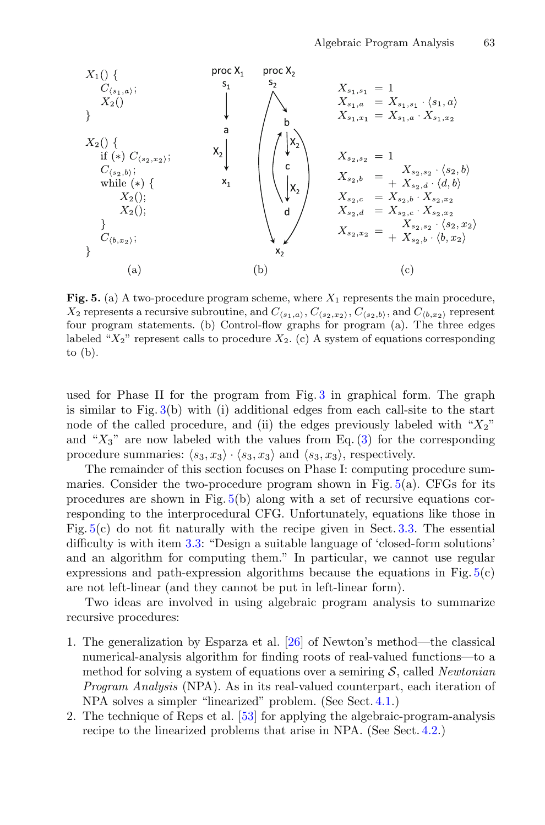

<span id="page-17-0"></span>**Fig. 5.** (a) A two-procedure program scheme, where  $X_1$  represents the main procedure,  $X_2$  represents a recursive subroutine, and  $C_{\langle s_1,a\rangle}, C_{\langle s_2,x_2\rangle}, C_{\langle s_2,b\rangle}$ , and  $C_{\langle b,x_2\rangle}$  represent four program statements. (b) Control-flow graphs for program (a). The three edges labeled " $X_2$ " represent calls to procedure  $X_2$ . (c) A system of equations corresponding to (b).

used for Phase II for the program from Fig. [3](#page-16-0) in graphical form. The graph is similar to Fig. [3\(](#page-16-0)b) with (i) additional edges from each call-site to the start node of the called procedure, and (ii) the edges previously labeled with " $X_2$ " and " $X_3$ " are now labeled with the values from Eq. [\(3\)](#page-15-3) for the corresponding procedure summaries:  $\langle s_3, x_3 \rangle \cdot \langle s_3, x_3 \rangle$  and  $\langle s_3, x_3 \rangle$ , respectively.

The remainder of this section focuses on Phase I: computing procedure summaries. Consider the two-procedure program shown in Fig.  $5(a)$  $5(a)$ . CFGs for its procedures are shown in Fig.  $5(b)$  $5(b)$  along with a set of recursive equations corresponding to the interprocedural CFG. Unfortunately, equations like those in Fig.  $5(c)$  $5(c)$  do not fit naturally with the recipe given in Sect. [3.3.](#page-13-0) The essential difficulty is with item [3.3:](#page-14-0) "Design a suitable language of 'closed-form solutions' and an algorithm for computing them." In particular, we cannot use regular expressions and path-expression algorithms because the equations in Fig.  $5(c)$  $5(c)$ are not left-linear (and they cannot be put in left-linear form).

Two ideas are involved in using algebraic program analysis to summarize recursive procedures:

- 1. The generalization by Esparza et al. [\[26](#page-35-6)] of Newton's method—the classical numerical-analysis algorithm for finding roots of real-valued functions—to a method for solving a system of equations over a semiring S, called *Newtonian Program Analysis* (NPA). As in its real-valued counterpart, each iteration of NPA solves a simpler "linearized" problem. (See Sect. [4.1.](#page-18-0))
- 2. The technique of Reps et al. [\[53\]](#page-36-7) for applying the algebraic-program-analysis recipe to the linearized problems that arise in NPA. (See Sect. [4.2.](#page-19-0))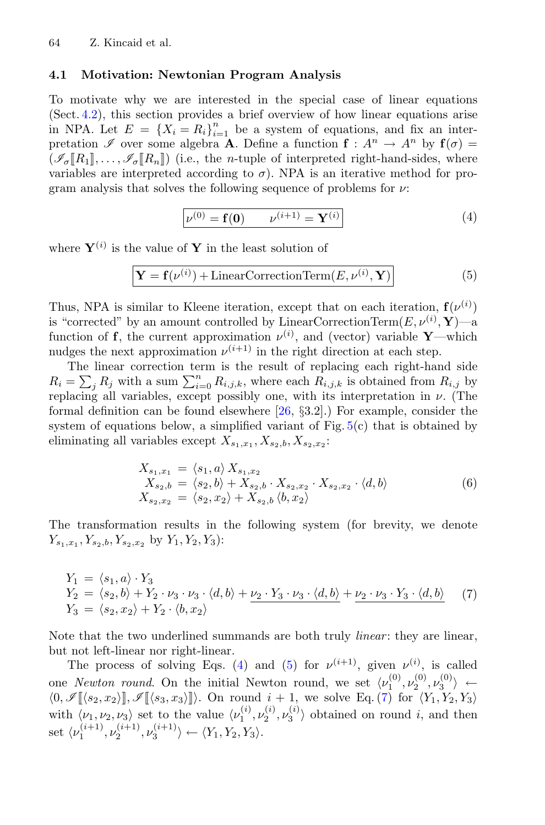#### <span id="page-18-0"></span>**4.1 Motivation: Newtonian Program Analysis**

To motivate why we are interested in the special case of linear equations (Sect. [4.2\)](#page-19-0), this section provides a brief overview of how linear equations arise in NPA. Let  $E = \{X_i = R_i\}_{i=1}^n$  be a system of equations, and fix an interpretation *I* over some algebra **A**. Define a function  $f : A^n \to A^n$  by  $f(\sigma) =$  $(\mathscr{I}_{\sigma}\llbracket R_1 \rrbracket, \ldots, \mathscr{I}_{\sigma}\llbracket R_n \rrbracket)$  (i.e., the *n*-tuple of interpreted right-hand-sides, where variables are interpreted according to  $\sigma$ ). NPA is an iterative method for program analysis that solves the following sequence of problems for  $\nu$ :

<span id="page-18-1"></span>
$$
\nu^{(0)} = \mathbf{f}(\mathbf{0}) \qquad \nu^{(i+1)} = \mathbf{Y}^{(i)} \tag{4}
$$

where  $\mathbf{Y}^{(i)}$  is the value of **Y** in the least solution of

<span id="page-18-2"></span>
$$
\mathbf{Y} = \mathbf{f}(\nu^{(i)}) + \text{LinearCorrectionTerm}(E, \nu^{(i)}, \mathbf{Y})
$$
 (5)

Thus, NPA is similar to Kleene iteration, except that on each iteration,  $\mathbf{f}(\nu^{(i)})$ is "corrected" by an amount controlled by LinearCorrectionTerm( $E, \nu^{(i)}$ , **Y**)—a function of **f**, the current approximation  $\nu^{(i)}$ , and (vector) variable **Y**—which nudges the next approximation  $\nu^{(i+1)}$  in the right direction at each step.

The linear correction term is the result of replacing each right-hand side  $R_i = \sum_j R_j$  with a sum  $\sum_{i=0}^n R_{i,j,k}$ , where each  $R_{i,j,k}$  is obtained from  $R_{i,j}$  by replacing all variables, except possibly one, with its interpretation in  $\nu$ . (The formal definition can be found elsewhere  $[26, §3.2]$  $[26, §3.2]$ .) For example, consider the system of equations below, a simplified variant of Fig.  $5(c)$  $5(c)$  that is obtained by eliminating all variables except  $X_{s_1,x_1}, X_{s_2,b}, X_{s_2,x_2}$ :

$$
\begin{aligned}\nX_{s_1,x_1} &= \langle s_1, a \rangle X_{s_1,x_2} \\
X_{s_2,b} &= \langle s_2, b \rangle + X_{s_2,b} \cdot X_{s_2,x_2} \cdot X_{s_2,x_2} \cdot \langle d, b \rangle \\
X_{s_2,x_2} &= \langle s_2, x_2 \rangle + X_{s_2,b} \langle b, x_2 \rangle\n\end{aligned} \tag{6}
$$

The transformation results in the following system (for brevity, we denote  $Y_{s_1,x_1}, Y_{s_2,b}, Y_{s_2,x_2}$  by  $Y_1, Y_2, Y_3)$ :

<span id="page-18-3"></span>
$$
Y_1 = \langle s_1, a \rangle \cdot Y_3
$$
  
\n
$$
Y_2 = \langle s_2, b \rangle + Y_2 \cdot \nu_3 \cdot \nu_3 \cdot \langle d, b \rangle + \underline{\nu_2 \cdot Y_3 \cdot \nu_3 \cdot \langle d, b \rangle} + \underline{\nu_2 \cdot \nu_3 \cdot Y_3 \cdot \langle d, b \rangle}
$$
 (7)  
\n
$$
Y_3 = \langle s_2, x_2 \rangle + Y_2 \cdot \langle b, x_2 \rangle
$$

Note that the two underlined summands are both truly *linear* : they are linear, but not left-linear nor right-linear.

The process of solving Eqs. [\(4\)](#page-18-1) and [\(5\)](#page-18-2) for  $\nu^{(i+1)}$ , given  $\nu^{(i)}$ , is called one *Newton round*. On the initial Newton round, we set  $\langle \nu_1^{(0)}, \nu_2^{(0)}, \nu_3^{(0)} \rangle$  $\langle 0, \mathscr{I}[[\langle s_2, x_2 \rangle]], \mathscr{I}[[\langle s_3, x_3 \rangle]]\rangle$ . On round  $i + 1$ , we solve Eq. [\(7\)](#page-18-3) for  $\langle Y_1, Y_2, Y_3 \rangle$ with  $\langle \nu_1, \nu_2, \nu_3 \rangle$  set to the value  $\langle \nu_1^{(i)}, \nu_2^{(i)}, \nu_3^{(i)} \rangle$  obtained on round *i*, and then set  $\langle \nu_1^{(i+1)}, \nu_2^{(i+1)}, \nu_3^{(i+1)} \rangle \leftarrow \langle Y_1, Y_2, Y_3 \rangle.$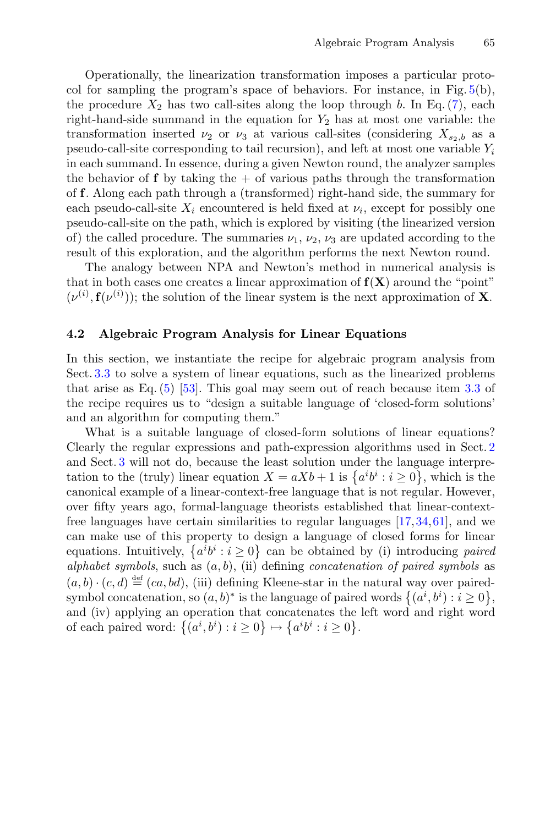Operationally, the linearization transformation imposes a particular protocol for sampling the program's space of behaviors. For instance, in Fig.  $5(b)$  $5(b)$ , the procedure  $X_2$  has two call-sites along the loop through b. In Eq. [\(7\)](#page-18-3), each right-hand-side summand in the equation for  $Y_2$  has at most one variable: the transformation inserted  $\nu_2$  or  $\nu_3$  at various call-sites (considering  $X_{s_2,b}$  as a pseudo-call-site corresponding to tail recursion), and left at most one variable  $Y_i$ in each summand. In essence, during a given Newton round, the analyzer samples the behavior of  $f$  by taking the  $+$  of various paths through the transformation of **f**. Along each path through a (transformed) right-hand side, the summary for each pseudo-call-site  $X_i$  encountered is held fixed at  $\nu_i$ , except for possibly one pseudo-call-site on the path, which is explored by visiting (the linearized version of) the called procedure. The summaries  $\nu_1, \nu_2, \nu_3$  are updated according to the result of this exploration, and the algorithm performs the next Newton round.

The analogy between NPA and Newton's method in numerical analysis is that in both cases one creates a linear approximation of **f**(**X**) around the "point"  $(\nu^{(i)}, \mathbf{f}(\nu^{(i)}))$ ; the solution of the linear system is the next approximation of **X**.

#### <span id="page-19-0"></span>**4.2 Algebraic Program Analysis for Linear Equations**

In this section, we instantiate the recipe for algebraic program analysis from Sect. [3.3](#page-13-0) to solve a system of linear equations, such as the linearized problems that arise as Eq. [\(5\)](#page-18-2) [\[53\]](#page-36-7). This goal may seem out of reach because item [3.3](#page-14-0) of the recipe requires us to "design a suitable language of 'closed-form solutions' and an algorithm for computing them."

What is a suitable language of closed-form solutions of linear equations? Clearly the regular expressions and path-expression algorithms used in Sect. [2](#page-2-0) and Sect. [3](#page-8-0) will not do, because the least solution under the language interpretation to the (truly) linear equation  $X = aXb + 1$  is  $\{a^ib^i : i \ge 0\}$ , which is the canonical example of a linear-context-free language that is not regular. However, over fifty years ago, formal-language theorists established that linear-contextfree languages have certain similarities to regular languages [\[17](#page-35-7)[,34](#page-36-8)[,61](#page-37-4)], and we can make use of this property to design a language of closed forms for linear equations. Intuitively,  $\{a^i b^i : i \geq 0\}$  can be obtained by (i) introducing *paired alphabet symbols*, such as (a, b), (ii) defining *concatenation of paired symbols* as  $(a, b) \cdot (c, d) \stackrel{\text{def}}{=} (ca, bd),$  (iii) defining Kleene-star in the natural way over pairedsymbol concatenation, so  $(a, b)^*$  is the language of paired words  $\{(a^i, b^i) : i \ge 0\}$ , and (iv) applying an operation that concatenates the left word and right word of each paired word:  $\{(a^i, b^i) : i \ge 0\} \mapsto \{a^i b^i : i \ge 0\}.$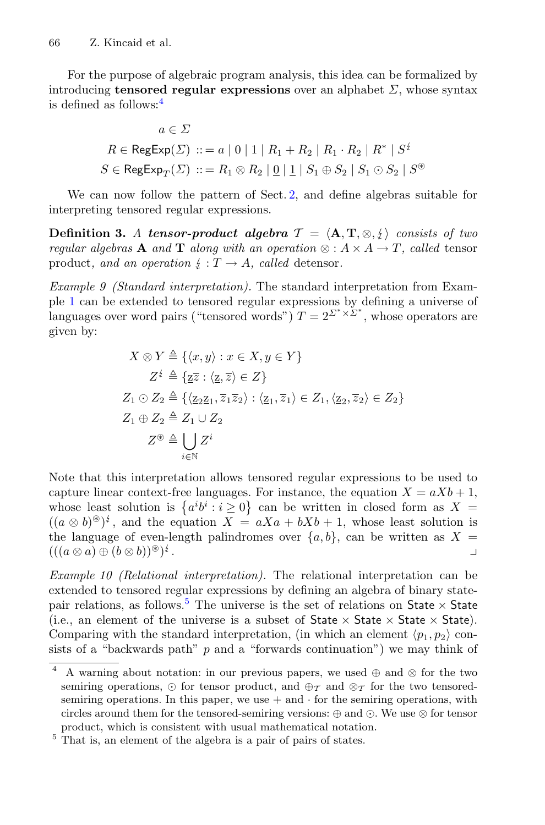For the purpose of algebraic program analysis, this idea can be formalized by introducing **tensored regular expressions** over an alphabet  $\Sigma$ , whose syntax is defined as follows: $4$ 

$$
a \in \Sigma
$$
  
\n
$$
R \in \text{RegExp}(\Sigma) ::= a \mid 0 \mid 1 \mid R_1 + R_2 \mid R_1 \cdot R_2 \mid R^* \mid S^{\dagger}
$$
  
\n
$$
S \in \text{RegExp}_T(\Sigma) ::= R_1 \otimes R_2 \mid \underline{0} \mid \underline{1} \mid S_1 \oplus S_2 \mid S_1 \odot S_2 \mid S^{\circledast}
$$

<span id="page-20-3"></span>We can now follow the pattern of Sect. [2,](#page-2-0) and define algebras suitable for interpreting tensored regular expressions.

**Definition 3.** *A tensor-product algebra*  $\mathcal{T} = \langle \mathbf{A}, \mathbf{T}, \otimes, \frac{1}{2} \rangle$  *consists of two regular algebras* **A** *and* **T** *along with an operation*  $\otimes$  :  $A \times A \rightarrow T$ *, called* tensor product, and an operation  $f: T \to A$ , called detensor.

*Example 9 (Standard interpretation).* The standard interpretation from Example [1](#page-2-2) can be extended to tensored regular expressions by defining a universe of languages over word pairs ("tensored words")  $T = 2^{\sum^* \times \sum^*}$ , whose operators are given by:

$$
X \otimes Y \triangleq \{ \langle x, y \rangle : x \in X, y \in Y \}
$$
  
\n
$$
Z^{\not\perp} \triangleq \{ \underline{z} \overline{z} : \langle \underline{z}, \overline{z} \rangle \in Z \}
$$
  
\n
$$
Z_1 \odot Z_2 \triangleq \{ \langle \underline{z}_2 \underline{z}_1, \overline{z}_1 \overline{z}_2 \rangle : \langle \underline{z}_1, \overline{z}_1 \rangle \in Z_1, \langle \underline{z}_2, \overline{z}_2 \rangle \in Z_2 \}
$$
  
\n
$$
Z_1 \oplus Z_2 \triangleq Z_1 \cup Z_2
$$
  
\n
$$
Z^{\circledast} \triangleq \bigcup_{i \in \mathbb{N}} Z^i
$$

Note that this interpretation allows tensored regular expressions to be used to capture linear context-free languages. For instance, the equation  $X = aXb + 1$ , whose least solution is  $\{a^i b^i : i \geq 0\}$  can be written in closed form as  $X =$  $((a \otimes b)^{\circledast})^{\sharp}$ , and the equation  $X = aXa + bXb + 1$ , whose least solution is the language of even-length palindromes over  $\{a, b\}$ , can be written as  $X = ((a \otimes a) \oplus (b \otimes b))^{\circledast})^{\circledast}$ .  $(((a \otimes a) \oplus (b \otimes b))^{\circledast})^{\circ}$ . . ⌟

<span id="page-20-2"></span>*Example 10 (Relational interpretation).* The relational interpretation can be extended to tensored regular expressions by defining an algebra of binary state-pair relations, as follows.<sup>[5](#page-20-1)</sup> The universe is the set of relations on State  $\times$  State (i.e., an element of the universe is a subset of State  $\times$  State  $\times$  State  $\times$  State). Comparing with the standard interpretation, (in which an element  $\langle p_1, p_2 \rangle$  consists of a "backwards path"  $p$  and a "forwards continuation") we may think of

<span id="page-20-0"></span>A warning about notation: in our previous papers, we used  $\oplus$  and  $\otimes$  for the two semiring operations,  $\odot$  for tensor product, and  $\oplus_{\mathcal{T}}$  and  $\otimes_{\mathcal{T}}$  for the two tensoredsemiring operations. In this paper, we use  $+$  and  $\cdot$  for the semiring operations, with circles around them for the tensored-semiring versions:  $\oplus$  and  $\odot$ . We use  $\otimes$  for tensor product, which is consistent with usual mathematical notation.

<span id="page-20-1"></span> $^5$  That is, an element of the algebra is a pair of pairs of states.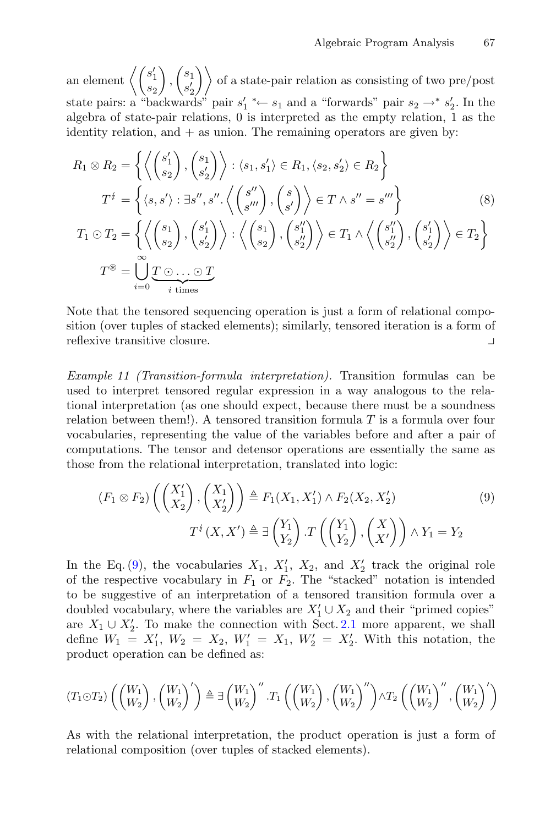an element  $\left\langle \begin{pmatrix} s'_1 \\ s_2 \end{pmatrix} \right\rangle$  $\bigg)$ ,  $\bigg( \begin{array}{c} s_1 \\ s_2 \end{array} \bigg)$  $\binom{s_1}{s'_2}$  of a state-pair relation as consisting of two pre/post state pairs: a "backwards" pair  $s'_1 \stackrel{*}{\leftarrow} s_1$  and a "forwards" pair  $s_2 \rightarrow^* s'_2$ . In the algebra of state-pair relations, 0 is interpreted as the empty relation, 1 as the identity relation, and  $+$  as union. The remaining operators are given by:

$$
R_1 \otimes R_2 = \left\{ \left\langle \begin{pmatrix} s_1' \\ s_2 \end{pmatrix}, \begin{pmatrix} s_1 \\ s_2' \end{pmatrix} \right\rangle : \langle s_1, s_1' \rangle \in R_1, \langle s_2, s_2' \rangle \in R_2 \right\}
$$
  
\n
$$
T^{\dagger} = \left\{ \langle s, s' \rangle : \exists s'', s''. \left\langle \begin{pmatrix} s'' \\ s''' \end{pmatrix}, \begin{pmatrix} s \\ s' \end{pmatrix} \right\rangle \in T \wedge s'' = s''' \right\}
$$
  
\n
$$
T_1 \odot T_2 = \left\{ \left\langle \begin{pmatrix} s_1 \\ s_2 \end{pmatrix}, \begin{pmatrix} s_1' \\ s_2' \end{pmatrix} \right\rangle : \left\langle \begin{pmatrix} s_1 \\ s_2 \end{pmatrix}, \begin{pmatrix} s_1'' \\ s_2'' \end{pmatrix} \right\rangle \in T_1 \wedge \left\langle \begin{pmatrix} s_1'' \\ s_2'' \end{pmatrix}, \begin{pmatrix} s_1' \\ s_2' \end{pmatrix} \right\rangle \in T_2 \right\}
$$
  
\n
$$
T^{\circledast} = \bigcup_{i=0}^{\infty} \underbrace{T \odot \dots \odot T}_{i \text{ times}}
$$
 (8)

Note that the tensored sequencing operation is just a form of relational composition (over tuples of stacked elements); similarly, tensored iteration is a form of reflexive transitive closure.

<span id="page-21-1"></span>*Example 11 (Transition-formula interpretation).* Transition formulas can be used to interpret tensored regular expression in a way analogous to the relational interpretation (as one should expect, because there must be a soundness relation between them!). A tensored transition formula  $T$  is a formula over four vocabularies, representing the value of the variables before and after a pair of computations. The tensor and detensor operations are essentially the same as those from the relational interpretation, translated into logic:

<span id="page-21-0"></span>
$$
(F_1 \otimes F_2) \left( \begin{pmatrix} X_1' \\ X_2 \end{pmatrix}, \begin{pmatrix} X_1 \\ X_2' \end{pmatrix} \right) \triangleq F_1(X_1, X_1') \wedge F_2(X_2, X_2')
$$
(9)  

$$
T^{\sharp}(X, X') \triangleq \exists \begin{pmatrix} Y_1 \\ Y_2 \end{pmatrix} . T \left( \begin{pmatrix} Y_1 \\ Y_2 \end{pmatrix}, \begin{pmatrix} X \\ X' \end{pmatrix} \right) \wedge Y_1 = Y_2
$$

In the Eq. [\(9\)](#page-21-0), the vocabularies  $X_1$ ,  $X'_1$ ,  $X_2$ , and  $X'_2$  track the original role of the respective vocabulary in  $F_1$  or  $F_2$ . The "stacked" notation is intended to be suggestive of an interpretation of a tensored transition formula over a doubled vocabulary, where the variables are  $X'_1 \cup X_2$  and their "primed copies" are  $X_1 \cup X_2'$ . To make the connection with Sect. [2.1](#page-4-1) more apparent, we shall define  $W_1 = X'_1, W_2 = X_2, W'_1 = X_1, W'_2 = X'_2$ . With this notation, the product operation can be defined as:

$$
(T_1 \odot T_2) \left( \begin{pmatrix} W_1 \\ W_2 \end{pmatrix}, \begin{pmatrix} W_1 \\ W_2 \end{pmatrix}' \right) \triangleq \exists \begin{pmatrix} W_1 \\ W_2 \end{pmatrix}'' \cdot T_1 \left( \begin{pmatrix} W_1 \\ W_2 \end{pmatrix}, \begin{pmatrix} W_1 \\ W_2 \end{pmatrix}'' \right) \wedge T_2 \left( \begin{pmatrix} W_1 \\ W_2 \end{pmatrix}'' , \begin{pmatrix} W_1 \\ W_2 \end{pmatrix}' \right)
$$

As with the relational interpretation, the product operation is just a form of relational composition (over tuples of stacked elements).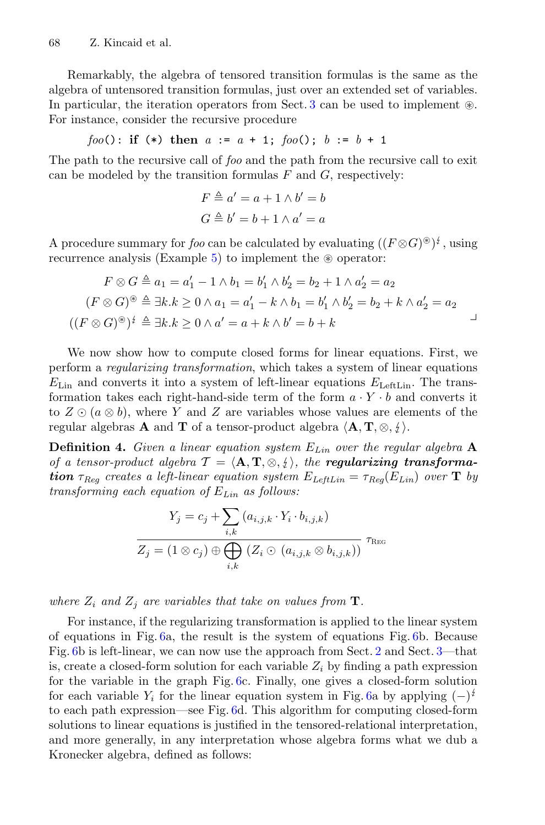Remarkably, the algebra of tensored transition formulas is the same as the algebra of untensored transition formulas, just over an extended set of variables. In particular, the iteration operators from Sect. [3](#page-8-0) can be used to implement  $\circledast$ . For instance, consider the recursive procedure

$$
foo()
$$
: if (\*) then  $a := a + 1$ ;  $foo()$ ;  $b := b + 1$ 

The path to the recursive call of *foo* and the path from the recursive call to exit can be modeled by the transition formulas  $F$  and  $G$ , respectively:

$$
F \triangleq a' = a + 1 \wedge b' = b
$$
  

$$
G \triangleq b' = b + 1 \wedge a' = a
$$

A procedure summary for *foo* can be calculated by evaluating  $((F \otimes G)^{\circledast})^{\sharp}$ , using recurrence analysis (Example [5\)](#page-7-0) to implement the  $\otimes$  operator:

$$
F \otimes G \triangleq a_1 = a'_1 - 1 \wedge b_1 = b'_1 \wedge b'_2 = b_2 + 1 \wedge a'_2 = a_2
$$
  
( $F \otimes G$ )<sup>®</sup>  $\triangleq \exists k.k \ge 0 \wedge a_1 = a'_1 - k \wedge b_1 = b'_1 \wedge b'_2 = b_2 + k \wedge a'_2 = a_2$   
(( $F \otimes G$ )<sup>®</sup>) <sup>$\sharp$</sup>   $\triangleq \exists k.k \ge 0 \wedge a' = a + k \wedge b' = b + k$ 

We now show how to compute closed forms for linear equations. First, we perform a *regularizing transformation*, which takes a system of linear equations  $E_{\text{Lin}}$  and converts it into a system of left-linear equations  $E_{\text{LeftLin}}$ . The transformation takes each right-hand-side term of the form  $a \cdot Y \cdot b$  and converts it to  $Z \odot (a \otimes b)$ , where Y and Z are variables whose values are elements of the regular algebras **A** and **T** of a tensor-product algebra  $\langle \mathbf{A}, \mathbf{T}, \otimes, \frac{1}{2} \rangle$ .

**Definition 4.** *Given a linear equation system* E*Lin over the regular algebra* **A** *of a tensor-product algebra*  $\mathcal{T} = \langle \mathbf{A}, \mathbf{T}, \otimes, \frac{1}{2} \rangle$ , the *regularizing transformation*  $\tau_{\text{Re}q}$  *creates a left-linear equation system*  $E_{\text{LeftLin}} = \tau_{\text{Reg}}(E_{\text{Lin}})$  *over* **T** *by transforming each equation of* E*Lin as follows:*

$$
Y_j = c_j + \sum_{i,k} (a_{i,j,k} \cdot Y_i \cdot b_{i,j,k})
$$

$$
Z_j = (1 \otimes c_j) \oplus \bigoplus_{i,k} (Z_i \odot (a_{i,j,k} \otimes b_{i,j,k}))
$$
<sup>THEG</sup>

*where*  $Z_i$  *and*  $Z_j$  *are variables that take on values from* **T***.* 

<span id="page-22-0"></span>For instance, if the regularizing transformation is applied to the linear system of equations in Fig. [6a](#page-23-0), the result is the system of equations Fig. [6b](#page-23-0). Because Fig. [6b](#page-23-0) is left-linear, we can now use the approach from Sect. [2](#page-2-0) and Sect. [3—](#page-8-0)that is, create a closed-form solution for each variable  $Z_i$  by finding a path expression for the variable in the graph Fig. [6c](#page-23-0). Finally, one gives a closed-form solution for each variable  $Y_i$  for the linear equation system in Fig. [6a](#page-23-0) by applying  $(-)^{\circ}$ to each path expression—see Fig. [6d](#page-23-0). This algorithm for computing closed-form solutions to linear equations is justified in the tensored-relational interpretation, and more generally, in any interpretation whose algebra forms what we dub a Kronecker algebra, defined as follows: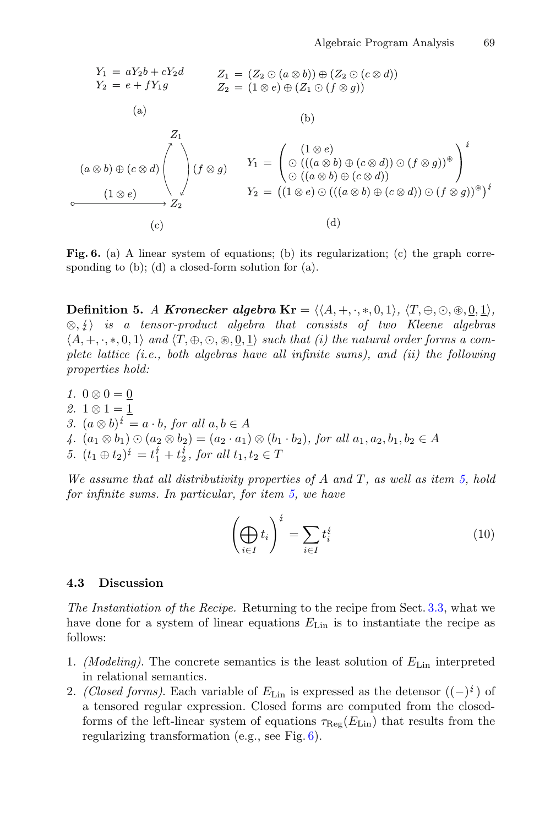$$
Y_1 = aY_2b + cY_2d
$$
  
\n
$$
Y_2 = e + fY_1g
$$
  
\n(a)  
\n
$$
Z_1 = (Z_2 \odot (a \otimes b)) \oplus (Z_2 \odot (c \otimes d))
$$
  
\n
$$
Z_2 = (1 \otimes e) \oplus (Z_1 \odot (f \otimes g))
$$
  
\n(b)  
\n
$$
Z_1
$$
  
\n
$$
(a \otimes b) \oplus (c \otimes d) \qquad (f \otimes g)
$$
  
\n
$$
Y_1 = \begin{pmatrix} (1 \otimes e) \\ \odot (((a \otimes b) \oplus (c \otimes d)) \odot (f \otimes g))^\circledast \\ \odot ((a \otimes b) \oplus (c \otimes d)) \odot ((a \otimes b) \oplus (c \otimes d))^\circledast \end{pmatrix}^t
$$
  
\n
$$
Y_2 = ((1 \otimes e) \odot (((a \otimes b) \oplus (c \otimes d)) \odot (f \otimes g))^\circledast)^t
$$
  
\n(c)  
\n(d)

<span id="page-23-0"></span>Fig. 6. (a) A linear system of equations; (b) its regularization; (c) the graph corresponding to (b); (d) a closed-form solution for (a).

**Definition 5.** *A Kronecker algebra*  $\mathbf{Kr} = \langle \langle A, +, \cdot, *, 0, 1 \rangle, \langle T, \oplus, \odot, \circ, 0, 1 \rangle$ , <sup>⊗</sup>, *is a tensor-product algebra that consists of two Kleene algebras*  $\langle A, +, \cdot, *, 0, 1 \rangle$  and  $\langle T, \oplus, \odot, \circ, 0, 1 \rangle$  such that *(i)* the natural order forms a com*plete lattice (i.e., both algebras have all infinite sums), and (ii) the following properties hold:*

*1.*  $0 \otimes 0 = 0$ *2.* 1 ⊗ 1 = 1 *3.*  $(a \otimes b)^{\sharp} = a \cdot b$ , for all  $a, b \in A$ *4.*  $(a_1 \otimes b_1) \odot (a_2 \otimes b_2) = (a_2 \cdot a_1) \otimes (b_1 \cdot b_2)$ *, for all*  $a_1, a_2, b_1, b_2 \in A$ 5.  $(t_1 \oplus t_2)^{\sharp} = t_1^{\sharp} + t_2^{\sharp}$ , for all  $t_1, t_2 \in T$ 

<span id="page-23-1"></span>*We assume that all distributivity properties of* A *and* T*, as well as item [5,](#page-23-1) hold for infinite sums. In particular, for item [5,](#page-23-1) we have*

$$
\left(\bigoplus_{i\in I} t_i\right)^{\sharp} = \sum_{i\in I} t_i^{\sharp} \tag{10}
$$

#### <span id="page-23-2"></span>**4.3 Discussion**

*The Instantiation of the Recipe.* Returning to the recipe from Sect. [3.3,](#page-13-0) what we have done for a system of linear equations  $E_{\text{Lin}}$  is to instantiate the recipe as follows:

- 1. *(Modeling)*. The concrete semantics is the least solution of  $E_{\text{Lin}}$  interpreted in relational semantics.
- 2. *(Closed forms)*. Each variable of  $E_{\text{Lin}}$  is expressed as the detensor  $((-)^{\sharp})$  of a tensored regular expression. Closed forms are computed from the closedforms of the left-linear system of equations  $\tau_{\text{Re}g}(E_{\text{Lin}})$  that results from the regularizing transformation (e.g., see Fig. [6\)](#page-23-0).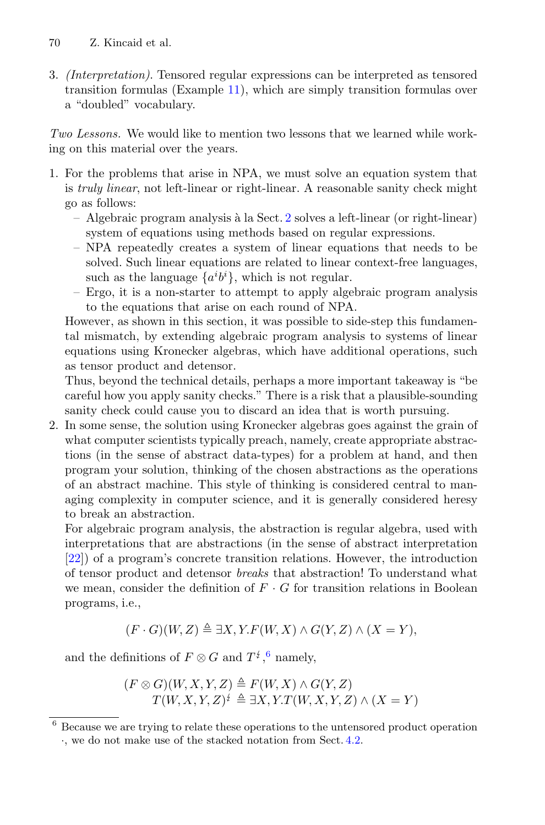3. *(Interpretation)*. Tensored regular expressions can be interpreted as tensored transition formulas (Example [11\)](#page-21-1), which are simply transition formulas over a "doubled" vocabulary.

*Two Lessons.* We would like to mention two lessons that we learned while working on this material over the years.

- 1. For the problems that arise in NPA, we must solve an equation system that is *truly linear*, not left-linear or right-linear. A reasonable sanity check might go as follows:
	- $-$  Algebraic program analysis à la Sect.  $2$  solves a left-linear (or right-linear) system of equations using methods based on regular expressions.
	- NPA repeatedly creates a system of linear equations that needs to be solved. Such linear equations are related to linear context-free languages, such as the language  $\{a^i b^i\}$ , which is not regular.
	- Ergo, it is a non-starter to attempt to apply algebraic program analysis to the equations that arise on each round of NPA.

However, as shown in this section, it was possible to side-step this fundamental mismatch, by extending algebraic program analysis to systems of linear equations using Kronecker algebras, which have additional operations, such as tensor product and detensor.

Thus, beyond the technical details, perhaps a more important takeaway is "be careful how you apply sanity checks." There is a risk that a plausible-sounding sanity check could cause you to discard an idea that is worth pursuing.

2. In some sense, the solution using Kronecker algebras goes against the grain of what computer scientists typically preach, namely, create appropriate abstractions (in the sense of abstract data-types) for a problem at hand, and then program your solution, thinking of the chosen abstractions as the operations of an abstract machine. This style of thinking is considered central to managing complexity in computer science, and it is generally considered heresy to break an abstraction.

For algebraic program analysis, the abstraction is regular algebra, used with interpretations that are abstractions (in the sense of abstract interpretation [\[22](#page-35-2)]) of a program's concrete transition relations. However, the introduction of tensor product and detensor *breaks* that abstraction! To understand what we mean, consider the definition of  $F \cdot G$  for transition relations in Boolean programs, i.e.,

 $(F \cdot G)(W, Z) \triangleq \exists X, Y.F(W, X) \wedge G(Y, Z) \wedge (X = Y),$ 

and the definitions of  $F \otimes G$  and  $T^{\frac{i}{2}},$ <sup>[6](#page-24-0)</sup> namely,

$$
(F \otimes G)(W, X, Y, Z) \triangleq F(W, X) \wedge G(Y, Z)
$$
  

$$
T(W, X, Y, Z)^{\sharp} \triangleq \exists X, Y.T(W, X, Y, Z) \wedge (X = Y)
$$

<span id="page-24-0"></span><sup>6</sup> Because we are trying to relate these operations to the untensored product operation

<sup>·</sup>, we do not make use of the stacked notation from Sect. [4.2.](#page-19-0)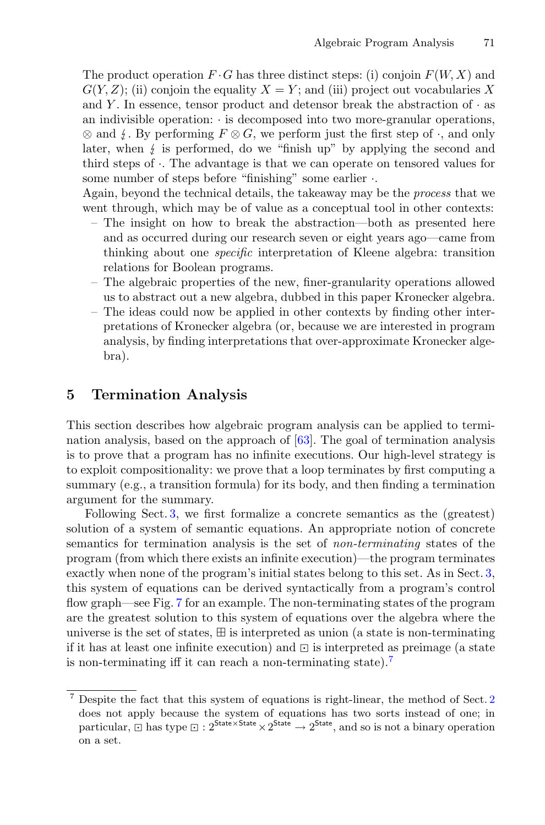The product operation  $F \cdot G$  has three distinct steps: (i) conjoin  $F(W, X)$  and  $G(Y, Z)$ ; (ii) conjoin the equality  $X = Y$ ; and (iii) project out vocabularies X and Y. In essence, tensor product and detensor break the abstraction of  $\cdot$  as an indivisible operation:  $\cdot$  is decomposed into two more-granular operations,  $\otimes$  and  $\oint$ . By performing  $F \otimes G$ , we perform just the first step of  $\cdot$ , and only later, when  $\frac{1}{2}$  is performed, do we "finish up" by applying the second and third steps of ·. The advantage is that we can operate on tensored values for some number of steps before "finishing" some earlier ·.

Again, beyond the technical details, the takeaway may be the *process* that we went through, which may be of value as a conceptual tool in other contexts:

- The insight on how to break the abstraction—both as presented here and as occurred during our research seven or eight years ago—came from thinking about one *specific* interpretation of Kleene algebra: transition relations for Boolean programs.
- The algebraic properties of the new, finer-granularity operations allowed us to abstract out a new algebra, dubbed in this paper Kronecker algebra.
- The ideas could now be applied in other contexts by finding other interpretations of Kronecker algebra (or, because we are interested in program analysis, by finding interpretations that over-approximate Kronecker algebra).

## <span id="page-25-0"></span>**5 Termination Analysis**

This section describes how algebraic program analysis can be applied to termination analysis, based on the approach of [\[63\]](#page-37-5). The goal of termination analysis is to prove that a program has no infinite executions. Our high-level strategy is to exploit compositionality: we prove that a loop terminates by first computing a summary (e.g., a transition formula) for its body, and then finding a termination argument for the summary.

Following Sect. [3,](#page-8-0) we first formalize a concrete semantics as the (greatest) solution of a system of semantic equations. An appropriate notion of concrete semantics for termination analysis is the set of *non-terminating* states of the program (from which there exists an infinite execution)—the program terminates exactly when none of the program's initial states belong to this set. As in Sect. [3,](#page-8-0) this system of equations can be derived syntactically from a program's control flow graph—see Fig. [7](#page-26-0) for an example. The non-terminating states of the program are the greatest solution to this system of equations over the algebra where the universe is the set of states,  $\boxplus$  is interpreted as union (a state is non-terminating if it has at least one infinite execution) and  $\Box$  is interpreted as preimage (a state is non-terminating iff it can reach a non-terminating state).<sup>[7](#page-25-1)</sup>

<span id="page-25-1"></span> $\frac{7}{7}$  Despite the fact that this system of equations is right-linear, the method of Sect. [2](#page-2-0) does not apply because the system of equations has two sorts instead of one; in particular,  $\Box$  has type  $\Box$ :  $2^{State \times State} \times 2^{State} \rightarrow 2^{State}$ , and so is not a binary operation on a set.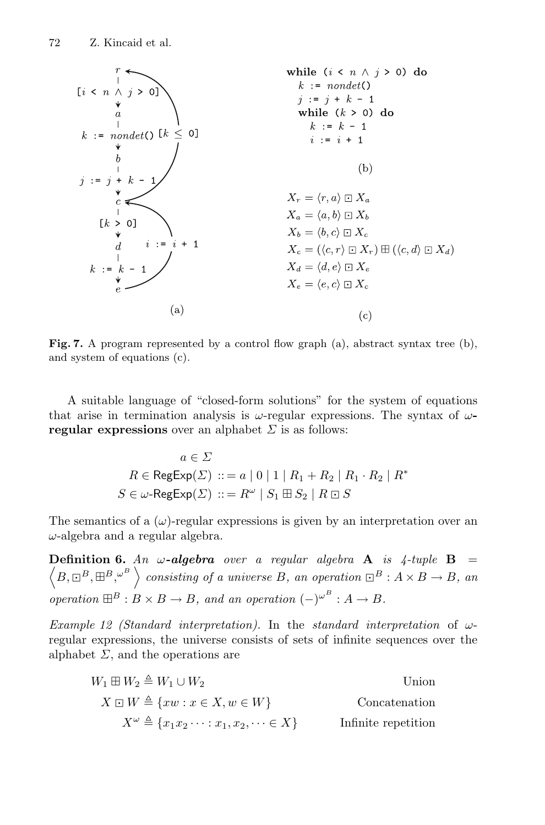

<span id="page-26-0"></span>Fig. 7. A program represented by a control flow graph (a), abstract syntax tree (b), and system of equations (c).

A suitable language of "closed-form solutions" for the system of equations that arise in termination analysis is  $\omega$ -regular expressions. The syntax of  $\omega$ **regular expressions** over an alphabet  $\Sigma$  is as follows:

<span id="page-26-1"></span>
$$
a \in \Sigma
$$
  
\n
$$
R \in \text{RegExp}(\Sigma) ::= a | 0 | 1 | R_1 + R_2 | R_1 \cdot R_2 | R^*
$$
  
\n
$$
S \in \omega \text{-RegExp}(\Sigma) ::= R^{\omega} | S_1 \boxplus S_2 | R \boxdot S
$$

The semantics of a  $(\omega)$ -regular expressions is given by an interpretation over an  $\omega$ -algebra and a regular algebra.

 $\left\langle B,\Box^B,\boxplus^B,^\omega\right\rangle$  consisting of a universe B, an operation  $\Box^B:A\times B\rightarrow B,$  and **Definition 6.** An  $\omega$ -algebra over a regular algebra **A** is 4-tuple **B** = *operation*  $\mathbb{H}^B : B \times B \to B$ *, and an operation*  $(-)^{\omega^B} : A \to B$ *.* 

*Example 12 (Standard interpretation).* In the *standard interpretation* of ωregular expressions, the universe consists of sets of infinite sequences over the alphabet  $\Sigma$ , and the operations are

$$
W_1 \boxplus W_2 \triangleq W_1 \cup W_2
$$
Union  

$$
X \boxdot W \triangleq \{xw : x \in X, w \in W\}
$$
Concatenation  

$$
X^{\omega} \triangleq \{x_1x_2 \cdots : x_1, x_2, \cdots \in X\}
$$
Infinite repetition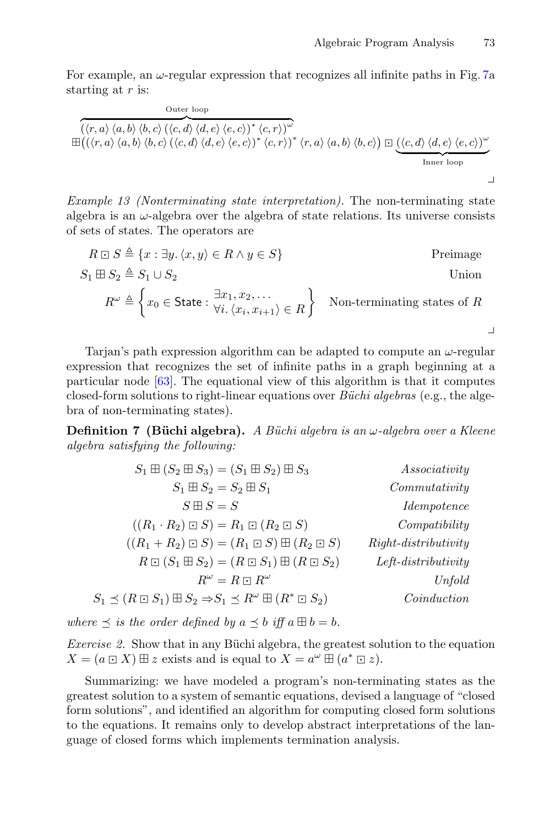For example, an  $\omega$ -regular expression that recognizes all infinite paths in Fig. [7a](#page-26-0) starting at  $r$  is:

Outer loop

\n
$$
\overbrace{(\langle r, a \rangle \langle a, b \rangle \langle b, c \rangle (\langle c, d \rangle \langle d, e \rangle \langle e, c \rangle)^* \langle c, r \rangle)^{\omega}}^{\text{Outer loop}}
$$
\n
$$
\boxplus ((\langle r, a \rangle \langle a, b \rangle \langle b, c \rangle (\langle c, d \rangle \langle d, e \rangle \langle e, c \rangle)^* \langle c, r \rangle)^* \langle r, a \rangle \langle a, b \rangle \langle b, c \rangle) \boxplus (\langle c, d \rangle \langle d, e \rangle \langle e, c \rangle)^{\omega}
$$
\nInner loop

<span id="page-27-1"></span>*Example 13 (Nonterminating state interpretation).* The non-terminating state algebra is an  $\omega$ -algebra over the algebra of state relations. Its universe consists of sets of states. The operators are

$$
R \sqcup S \triangleq \{x : \exists y. \langle x, y \rangle \in R \land y \in S\}
$$
Preimage  
\n
$$
S_1 \boxplus S_2 \triangleq S_1 \cup S_2
$$
Union  
\n
$$
R^{\omega} \triangleq \left\{x_0 \in \text{State}: \frac{\exists x_1, x_2, \dots}{\forall i. \langle x_i, x_{i+1} \rangle \in R}\right\}
$$
Non-terminating states of R

Tarjan's path expression algorithm can be adapted to compute an  $\omega$ -regular expression that recognizes the set of infinite paths in a graph beginning at a particular node [\[63\]](#page-37-5). The equational view of this algorithm is that it computes closed-form solutions to right-linear equations over *Büchi algebras* (e.g., the algebra of non-terminating states).

**Definition 7 (Büchi algebra).** *A Büchi algebra is an* ω-algebra over a Kleene *algebra satisfying the following:*

<span id="page-27-0"></span>

| Associativity          | $S_1 \boxplus (S_2 \boxplus S_3) = (S_1 \boxplus S_2) \boxplus S_3$                                    |
|------------------------|--------------------------------------------------------------------------------------------------------|
| Commutativity          | $S_1 \boxplus S_2 = S_2 \boxplus S_1$                                                                  |
| <i>Idempotence</i>     | $S \boxplus S = S$                                                                                     |
| Compatibility          | $((R_1 \cdot R_2) \boxdot S) = R_1 \boxdot (R_2 \boxdot S)$                                            |
| $Right-distributivity$ | $((R_1 + R_2) \boxdot S) = (R_1 \boxdot S) \boxplus (R_2 \boxdot S)$                                   |
| Left-distributivity    | $R \boxdot (S_1 \boxplus S_2) = (R \boxdot S_1) \boxplus (R \boxdot S_2)$                              |
| Unfold                 | $R^{\omega} = R \boxdot R^{\omega}$                                                                    |
| Coinduction            | $S_1 \preceq (R \sqcup S_1) \boxplus S_2 \Rightarrow S_1 \preceq R^{\omega} \boxplus (R^* \sqcup S_2)$ |
|                        |                                                                                                        |

*where*  $\leq$  *is the order defined by*  $a \leq b$  *iff*  $a \boxplus b = b$ *.* 

*Exercise 2.* Show that in any Büchi algebra, the greatest solution to the equation  $X = (a \boxdot X) \boxplus z$  exists and is equal to  $X = a^{\omega} \boxplus (a^* \boxdot z).$ 

Summarizing: we have modeled a program's non-terminating states as the greatest solution to a system of semantic equations, devised a language of "closed form solutions", and identified an algorithm for computing closed form solutions to the equations. It remains only to develop abstract interpretations of the language of closed forms which implements termination analysis.

 $^{\circ}$ 

⌟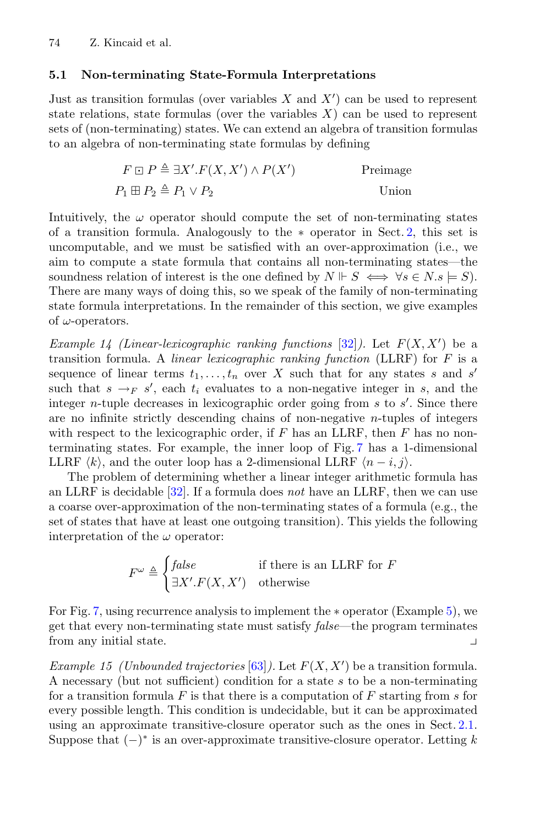#### <span id="page-28-0"></span>**5.1 Non-terminating State-Formula Interpretations**

Just as transition formulas (over variables  $X$  and  $X'$ ) can be used to represent state relations, state formulas (over the variables  $X$ ) can be used to represent sets of (non-terminating) states. We can extend an algebra of transition formulas to an algebra of non-terminating state formulas by defining

$$
F \sqcup P \triangleq \exists X'. F(X, X') \land P(X')
$$
 Preimage  

$$
P_1 \boxplus P_2 \triangleq P_1 \lor P_2
$$
 Union

Intuitively, the  $\omega$  operator should compute the set of non-terminating states of a transition formula. Analogously to the ∗ operator in Sect. [2,](#page-2-0) this set is uncomputable, and we must be satisfied with an over-approximation (i.e., we aim to compute a state formula that contains all non-terminating states—the soundness relation of interest is the one defined by  $N \Vdash S \iff \forall s \in N$ .  $s \models S$ . There are many ways of doing this, so we speak of the family of non-terminating state formula interpretations. In the remainder of this section, we give examples of  $\omega$ -operators.

*Example 14 (Linear-lexicographic ranking functions* [\[32](#page-36-9)]). Let  $F(X, X')$  be a transition formula. A *linear lexicographic ranking function* (LLRF) for F is a sequence of linear terms  $t_1, \ldots, t_n$  over X such that for any states s and s' such that  $s \rightarrow_F s'$ , each  $t_i$  evaluates to a non-negative integer in s, and the integer *n*-tuple decreases in lexicographic order going from  $s$  to  $s'$ . Since there are no infinite strictly descending chains of non-negative n-tuples of integers with respect to the lexicographic order, if  $F$  has an LLRF, then  $F$  has no nonterminating states. For example, the inner loop of Fig. [7](#page-26-0) has a 1-dimensional LLRF  $\langle k \rangle$ , and the outer loop has a 2-dimensional LLRF  $\langle n - i, j \rangle$ .

The problem of determining whether a linear integer arithmetic formula has an LLRF is decidable [\[32\]](#page-36-9). If a formula does *not* have an LLRF, then we can use a coarse over-approximation of the non-terminating states of a formula (e.g., the set of states that have at least one outgoing transition). This yields the following interpretation of the  $\omega$  operator:

$$
F^{\omega} \triangleq \begin{cases} \text{false} & \text{if there is an LLRF for } F \\ \exists X'. F(X, X') & \text{otherwise} \end{cases}
$$

For Fig. [7,](#page-26-0) using recurrence analysis to implement the ∗ operator (Example [5\)](#page-7-0), we get that every non-terminating state must satisfy *false*—the program terminates from any initial state. ⌟

*Example 15 (Unbounded trajectories*  $[63]$  $[63]$ ). Let  $F(X, X')$  be a transition formula. A necessary (but not sufficient) condition for a state  $s$  to be a non-terminating for a transition formula F is that there is a computation of F starting from s for every possible length. This condition is undecidable, but it can be approximated using an approximate transitive-closure operator such as the ones in Sect. [2.1.](#page-4-1) Suppose that  $(-)^*$  is an over-approximate transitive-closure operator. Letting k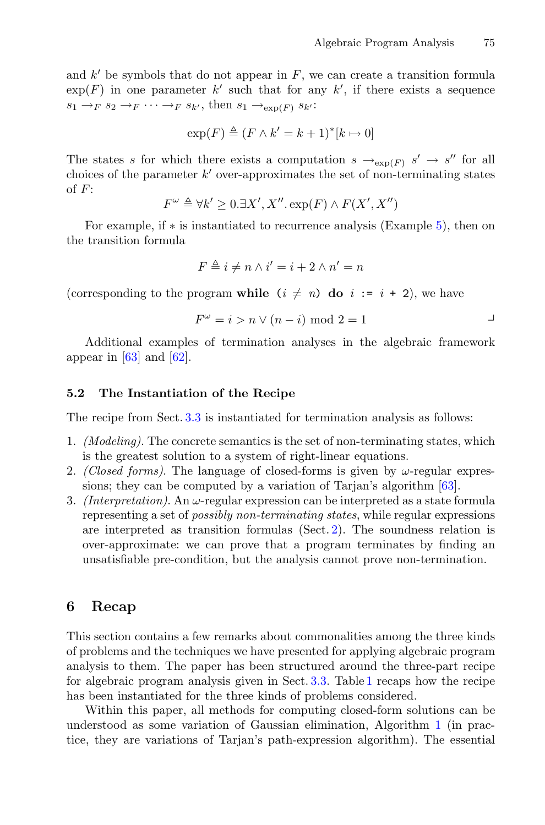and  $k'$  be symbols that do not appear in  $F$ , we can create a transition formula  $\exp(F)$  in one parameter k' such that for any k', if there exists a sequence  $s_1 \rightarrow_F s_2 \rightarrow_F \cdots \rightarrow_F s_{k'}$ , then  $s_1 \rightarrow_{\exp(F)} s_{k'}$ :

$$
\exp(F) \triangleq (F \wedge k' = k + 1)^*[k \mapsto 0]
$$

The states s for which there exists a computation  $s \to_{\exp(F)} s' \to s''$  for all choices of the parameter  $k'$  over-approximates the set of non-terminating states of  $F$ :

 $F^{\omega} \triangleq \forall k' \geq 0. \exists X', X''. \exp(F) \wedge F(X', X'')$ 

For example, if ∗ is instantiated to recurrence analysis (Example [5\)](#page-7-0), then on the transition formula

$$
F \triangleq i \neq n \wedge i' = i + 2 \wedge n' = n
$$

(corresponding to the program **while**  $(i \neq n)$  do  $i := i + 2$ ), we have

$$
F^{\omega} = i > n \vee (n - i) \bmod 2 = 1
$$

Additional examples of termination analyses in the algebraic framework appear in  $[63]$  and  $[62]$  $[62]$ .

#### <span id="page-29-0"></span>**5.2 The Instantiation of the Recipe**

The recipe from Sect. [3.3](#page-13-0) is instantiated for termination analysis as follows:

- 1. *(Modeling)*. The concrete semantics is the set of non-terminating states, which is the greatest solution to a system of right-linear equations.
- 2. *(Closed forms)*. The language of closed-forms is given by  $\omega$ -regular expres-sions; they can be computed by a variation of Tarjan's algorithm [\[63](#page-37-5)].
- 3. *(Interpretation)*. An  $\omega$ -regular expression can be interpreted as a state formula representing a set of *possibly non-terminating states*, while regular expressions are interpreted as transition formulas (Sect. [2\)](#page-2-0). The soundness relation is over-approximate: we can prove that a program terminates by finding an unsatisfiable pre-condition, but the analysis cannot prove non-termination.

### **6 Recap**

This section contains a few remarks about commonalities among the three kinds of problems and the techniques we have presented for applying algebraic program analysis to them. The paper has been structured around the three-part recipe for algebraic program analysis given in Sect. [3.3.](#page-13-0) Table [1](#page-30-0) recaps how the recipe has been instantiated for the three kinds of problems considered.

Within this paper, all methods for computing closed-form solutions can be understood as some variation of Gaussian elimination, Algorithm [1](#page-11-0) (in practice, they are variations of Tarjan's path-expression algorithm). The essential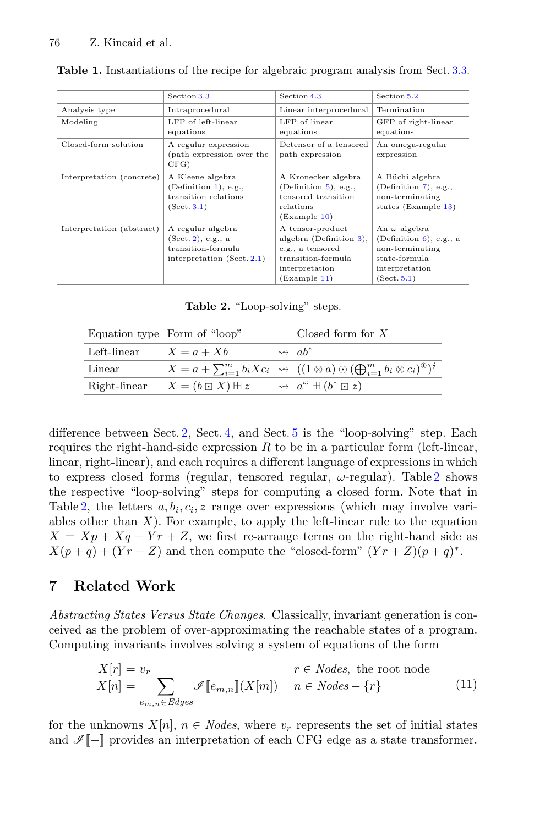|                           | Section 3.3                                                                                   | Section 4.3                                                                                                                | Section 5.2                                                                                                            |  |  |
|---------------------------|-----------------------------------------------------------------------------------------------|----------------------------------------------------------------------------------------------------------------------------|------------------------------------------------------------------------------------------------------------------------|--|--|
| Analysis type             | Intraprocedural                                                                               | Linear interprocedural                                                                                                     | Termination                                                                                                            |  |  |
| Modeling                  | LFP of left-linear<br>equations                                                               | LFP of linear<br>equations                                                                                                 | GFP of right-linear<br>equations                                                                                       |  |  |
| Closed-form solution      | A regular expression<br>(path expression over the<br>CFG)                                     | Detensor of a tensored<br>path expression                                                                                  | An omega-regular<br>expression                                                                                         |  |  |
| Interpretation (concrete) | A Kleene algebra<br>(Definition 1), e.g.,<br>transition relations<br>(Sect. 3.1)              | A Kronecker algebra<br>(Definition $5$ ), e.g.,<br>tensored transition<br>relations<br>(Example 10)                        | A Büchi algebra<br>(Definition 7), e.g.,<br>non-terminating<br>states (Example $13$ )                                  |  |  |
| Interpretation (abstract) | A regular algebra<br>(Sect. 2), e.g., a<br>transition-formula<br>interpretation $(Sect. 2.1)$ | A tensor-product<br>algebra (Definition $3$ ),<br>e.g., a tensored<br>transition-formula<br>interpretation<br>(Example 11) | An $\omega$ algebra<br>(Definition $6$ ), e.g., a<br>non-terminating<br>state-formula<br>interpretation<br>(Sect. 5.1) |  |  |

<span id="page-30-0"></span>Table 1. Instantiations of the recipe for algebraic program analysis from Sect. [3.3.](#page-13-0)

<span id="page-30-1"></span>**Table 2.** "Loop-solving" steps.

|              | Equation type Form of "loop"   | Closed form for $X$                                                                                                                             |
|--------------|--------------------------------|-------------------------------------------------------------------------------------------------------------------------------------------------|
| Left-linear  | $X = a + Xb$                   | $\rightsquigarrow$ $ab^*$                                                                                                                       |
| Linear       |                                | $X = a + \sum_{i=1}^{m} b_i X c_i \, \sim \, \big  \, ((1 \otimes a) \odot (\bigoplus_{i=1}^{m} b_i \otimes c_i)^{\circledast})^{\sharp} \big $ |
| Right-linear | $X = (b \boxdot X) \boxplus z$ | $\rightsquigarrow$ $a^{\omega} \boxplus (b^* \boxdot z)$                                                                                        |

difference between Sect. [2,](#page-2-0) Sect. [4,](#page-15-0) and Sect. [5](#page-25-0) is the "loop-solving" step. Each requires the right-hand-side expression  $R$  to be in a particular form (left-linear, linear, right-linear), and each requires a different language of expressions in which to express closed forms (regular, tensored regular,  $\omega$ -regular). Table [2](#page-30-1) shows the respective "loop-solving" steps for computing a closed form. Note that in Table [2,](#page-30-1) the letters  $a, b_i, c_i, z$  range over expressions (which may involve variables other than  $X$ ). For example, to apply the left-linear rule to the equation  $X = Xp + Xq + Yr + Z$ , we first re-arrange terms on the right-hand side as  $X(p+q)+(Yr+Z)$  and then compute the "closed-form"  $(Yr+Z)(p+q)^*$ .

## **7 Related Work**

*Abstracting States Versus State Changes.* Classically, invariant generation is conceived as the problem of over-approximating the reachable states of a program. Computing invariants involves solving a system of equations of the form

<span id="page-30-2"></span>
$$
X[r] = v_r
$$
  
\n
$$
X[n] = \sum_{e_{m,n} \in Edges} \mathcal{I}[e_{m,n}](X[m]) \quad n \in Nodes - \{r\}
$$
 (11)

for the unknowns  $X[n], n \in Nodes$ , where  $v_r$  represents the set of initial states and  $\mathcal{I}$   $\llbracket - \rrbracket$  provides an interpretation of each CFG edge as a state transformer.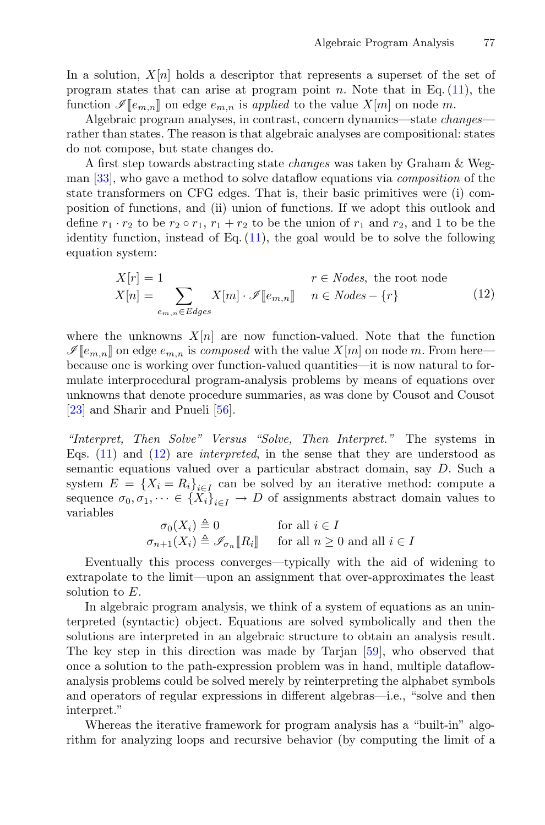In a solution,  $X[n]$  holds a descriptor that represents a superset of the set of program states that can arise at program point n. Note that in Eq.  $(11)$ , the function  $\mathscr{I}[\![e_{m,n}]\!]$  on edge  $e_{m,n}$  is *applied* to the value  $X[m]$  on node m.

Algebraic program analyses, in contrast, concern dynamics—state *changes* rather than states. The reason is that algebraic analyses are compositional: states do not compose, but state changes do.

A first step towards abstracting state *changes* was taken by Graham & Wegman [\[33](#page-36-10)], who gave a method to solve dataflow equations via *composition* of the state transformers on CFG edges. That is, their basic primitives were (i) composition of functions, and (ii) union of functions. If we adopt this outlook and define  $r_1 \cdot r_2$  to be  $r_2 \circ r_1$ ,  $r_1 + r_2$  to be the union of  $r_1$  and  $r_2$ , and 1 to be the identity function, instead of Eq.  $(11)$ , the goal would be to solve the following equation system:

<span id="page-31-0"></span>
$$
X[r] = 1
$$
  
\n
$$
X[n] = \sum_{e_{m,n} \in Edges} X[m] \cdot \mathcal{I}[e_{m,n}] \quad n \in Nodes - \{r\}
$$
 (12)

where the unknowns  $X[n]$  are now function-valued. Note that the function  $\mathscr{I}[\![e_{m,n}]\!]$  on edge  $e_{m,n}$  is *composed* with the value  $X[m]$  on node m. From here because one is working over function-valued quantities—it is now natural to formulate interprocedural program-analysis problems by means of equations over unknowns that denote procedure summaries, as was done by Cousot and Cousot [\[23](#page-35-5)] and Sharir and Pnueli [\[56\]](#page-37-3).

*"Interpret, Then Solve" Versus "Solve, Then Interpret."* The systems in Eqs. [\(11\)](#page-30-2) and [\(12\)](#page-31-0) are *interpreted*, in the sense that they are understood as semantic equations valued over a particular abstract domain, say D. Such a system  $E = \{X_i = R_i\}_{i \in I}$  can be solved by an iterative method: compute a sequence  $\sigma_0, \sigma_1, \dots \in {\widetilde{X_i}}_{i \in I} \to D$  of assignments abstract domain values to variables

$$
\sigma_0(X_i) \triangleq 0 \quad \text{for all } i \in I
$$
  

$$
\sigma_{n+1}(X_i) \triangleq \mathscr{I}_{\sigma_n}[\![R_i]\!]
$$
 for all  $n \ge 0$  and all  $i \in I$ 

Eventually this process converges—typically with the aid of widening to extrapolate to the limit—upon an assignment that over-approximates the least solution to E.

In algebraic program analysis, we think of a system of equations as an uninterpreted (syntactic) object. Equations are solved symbolically and then the solutions are interpreted in an algebraic structure to obtain an analysis result. The key step in this direction was made by Tarjan [\[59\]](#page-37-0), who observed that once a solution to the path-expression problem was in hand, multiple dataflowanalysis problems could be solved merely by reinterpreting the alphabet symbols and operators of regular expressions in different algebras—i.e., "solve and then interpret."

Whereas the iterative framework for program analysis has a "built-in" algorithm for analyzing loops and recursive behavior (by computing the limit of a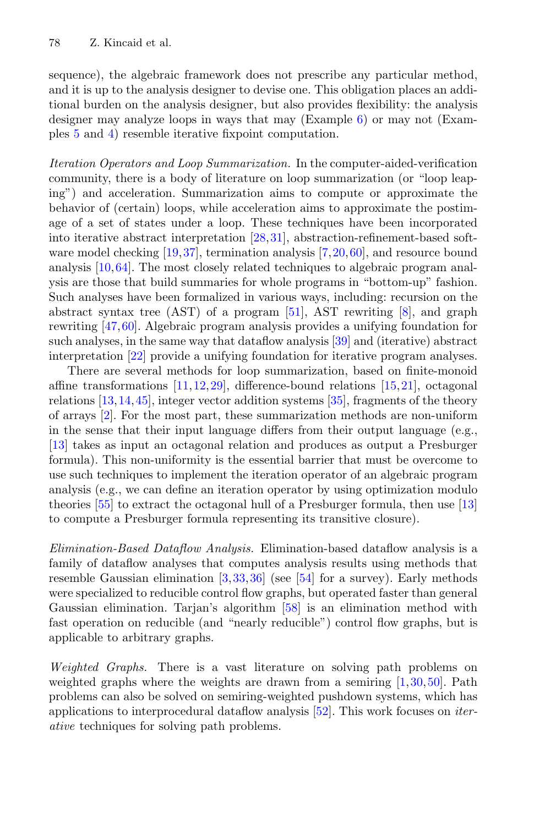sequence), the algebraic framework does not prescribe any particular method, and it is up to the analysis designer to devise one. This obligation places an additional burden on the analysis designer, but also provides flexibility: the analysis designer may analyze loops in ways that may (Example [6\)](#page-8-1) or may not (Examples [5](#page-7-0) and [4\)](#page-6-1) resemble iterative fixpoint computation.

*Iteration Operators and Loop Summarization.* In the computer-aided-verification community, there is a body of literature on loop summarization (or "loop leaping") and acceleration. Summarization aims to compute or approximate the behavior of (certain) loops, while acceleration aims to approximate the postimage of a set of states under a loop. These techniques have been incorporated into iterative abstract interpretation [\[28](#page-35-8)[,31](#page-35-9)], abstraction-refinement-based soft-ware model checking [\[19](#page-35-10),[37\]](#page-36-11), termination analysis [\[7](#page-34-4), 20, 60], and resource bound analysis [\[10](#page-34-5)[,64](#page-37-8)]. The most closely related techniques to algebraic program analysis are those that build summaries for whole programs in "bottom-up" fashion. Such analyses have been formalized in various ways, including: recursion on the abstract syntax tree  $(AST)$  of a program  $[51]$ , AST rewriting  $[8]$  $[8]$ , and graph rewriting [\[47,](#page-36-2)[60](#page-37-7)]. Algebraic program analysis provides a unifying foundation for such analyses, in the same way that dataflow analysis [\[39](#page-36-12)] and (iterative) abstract interpretation [\[22](#page-35-2)] provide a unifying foundation for iterative program analyses.

There are several methods for loop summarization, based on finite-monoid affine transformations [\[11](#page-34-7)[,12](#page-34-8),[29\]](#page-35-12), difference-bound relations [\[15,](#page-35-13)[21\]](#page-35-14), octagonal relations [\[13,](#page-35-15)[14](#page-35-16)[,45](#page-36-13)], integer vector addition systems [\[35\]](#page-36-14), fragments of the theory of arrays [\[2\]](#page-34-9). For the most part, these summarization methods are non-uniform in the sense that their input language differs from their output language (e.g., [\[13](#page-35-15)] takes as input an octagonal relation and produces as output a Presburger formula). This non-uniformity is the essential barrier that must be overcome to use such techniques to implement the iteration operator of an algebraic program analysis (e.g., we can define an iteration operator by using optimization modulo theories [\[55](#page-37-9)] to extract the octagonal hull of a Presburger formula, then use [\[13](#page-35-15)] to compute a Presburger formula representing its transitive closure).

*Elimination-Based Dataflow Analysis.* Elimination-based dataflow analysis is a family of dataflow analyses that computes analysis results using methods that resemble Gaussian elimination  $[3,33,36]$  $[3,33,36]$  $[3,33,36]$  $[3,33,36]$  (see [\[54](#page-37-10)] for a survey). Early methods were specialized to reducible control flow graphs, but operated faster than general Gaussian elimination. Tarjan's algorithm [\[58](#page-37-2)] is an elimination method with fast operation on reducible (and "nearly reducible") control flow graphs, but is applicable to arbitrary graphs.

*Weighted Graphs.* There is a vast literature on solving path problems on weighted graphs where the weights are drawn from a semiring  $[1,30,50]$  $[1,30,50]$  $[1,30,50]$  $[1,30,50]$ . Path problems can also be solved on semiring-weighted pushdown systems, which has applications to interprocedural dataflow analysis [\[52\]](#page-36-17). This work focuses on *iterative* techniques for solving path problems.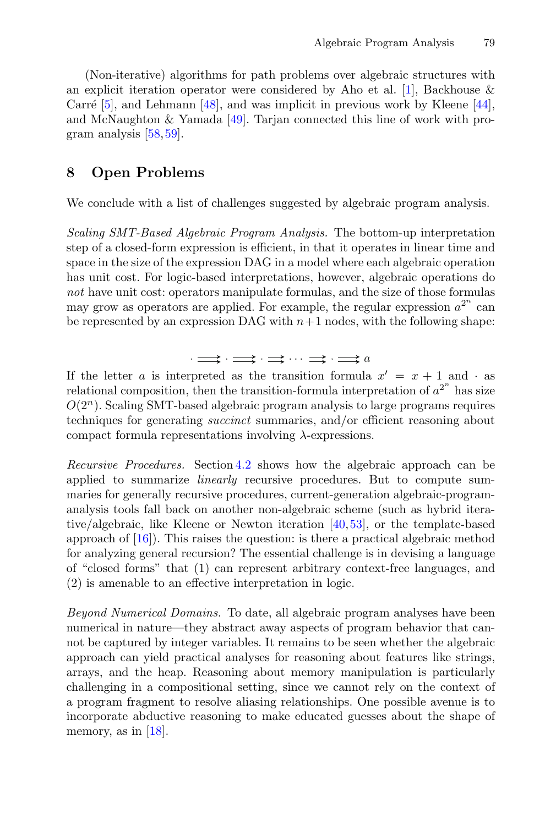(Non-iterative) algorithms for path problems over algebraic structures with an explicit iteration operator were considered by Aho et al. [\[1\]](#page-34-0), Backhouse  $\&$ Carré  $[5]$  $[5]$ , and Lehmann  $[48]$  $[48]$ , and was implicit in previous work by Kleene  $[44]$ , and McNaughton  $&$  Yamada [\[49\]](#page-36-18). Tarjan connected this line of work with program analysis [\[58](#page-37-2)[,59\]](#page-37-0).

## **8 Open Problems**

We conclude with a list of challenges suggested by algebraic program analysis.

*Scaling SMT-Based Algebraic Program Analysis.* The bottom-up interpretation step of a closed-form expression is efficient, in that it operates in linear time and space in the size of the expression DAG in a model where each algebraic operation has unit cost. For logic-based interpretations, however, algebraic operations do *not* have unit cost: operators manipulate formulas, and the size of those formulas may grow as operators are applied. For example, the regular expression  $a^{2^n}$  can be represented by an expression DAG with  $n+1$  nodes, with the following shape:

 $\cdot \Longrightarrow \cdot \Longrightarrow \cdot \Longrightarrow \cdots \Longrightarrow \cdot \Longrightarrow a$ 

If the letter a is interpreted as the transition formula  $x' = x + 1$  and  $\cdot$  as relational composition, then the transition-formula interpretation of  $a^{2^n}$  has size  $O(2<sup>n</sup>)$ . Scaling SMT-based algebraic program analysis to large programs requires techniques for generating *succinct* summaries, and/or efficient reasoning about compact formula representations involving  $\lambda$ -expressions.

*Recursive Procedures.* Section [4.2](#page-19-0) shows how the algebraic approach can be applied to summarize *linearly* recursive procedures. But to compute summaries for generally recursive procedures, current-generation algebraic-programanalysis tools fall back on another non-algebraic scheme (such as hybrid iterative/algebraic, like Kleene or Newton iteration [\[40,](#page-36-19)[53](#page-36-7)], or the template-based approach of  $[16]$  $[16]$ ). This raises the question: is there a practical algebraic method for analyzing general recursion? The essential challenge is in devising a language of "closed forms" that (1) can represent arbitrary context-free languages, and (2) is amenable to an effective interpretation in logic.

*Beyond Numerical Domains.* To date, all algebraic program analyses have been numerical in nature—they abstract away aspects of program behavior that cannot be captured by integer variables. It remains to be seen whether the algebraic approach can yield practical analyses for reasoning about features like strings, arrays, and the heap. Reasoning about memory manipulation is particularly challenging in a compositional setting, since we cannot rely on the context of a program fragment to resolve aliasing relationships. One possible avenue is to incorporate abductive reasoning to make educated guesses about the shape of memory, as in [\[18\]](#page-35-0).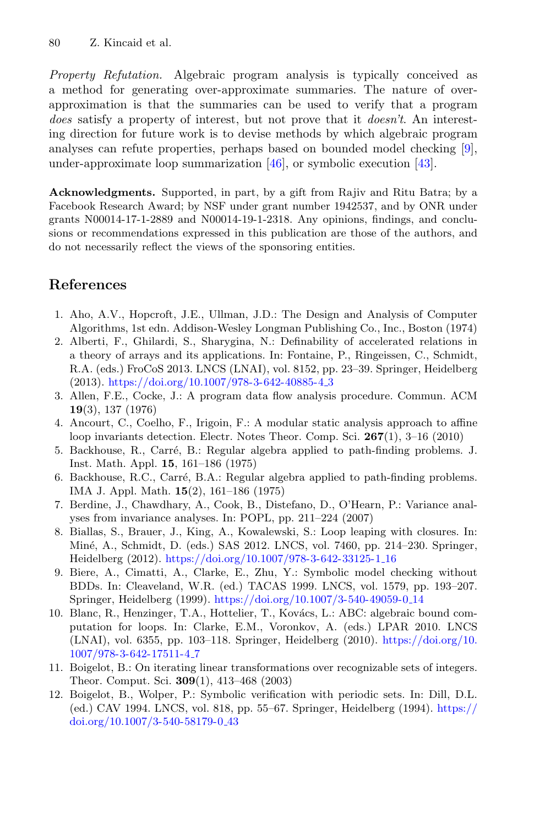*Property Refutation.* Algebraic program analysis is typically conceived as a method for generating over-approximate summaries. The nature of overapproximation is that the summaries can be used to verify that a program *does* satisfy a property of interest, but not prove that it *doesn't*. An interesting direction for future work is to devise methods by which algebraic program analyses can refute properties, perhaps based on bounded model checking [\[9\]](#page-34-3), under-approximate loop summarization [\[46](#page-36-20)], or symbolic execution [\[43](#page-36-21)].

**Acknowledgments.** Supported, in part, by a gift from Rajiv and Ritu Batra; by a Facebook Research Award; by NSF under grant number 1942537, and by ONR under grants N00014-17-1-2889 and N00014-19-1-2318. Any opinions, findings, and conclusions or recommendations expressed in this publication are those of the authors, and do not necessarily reflect the views of the sponsoring entities.

# **References**

- <span id="page-34-0"></span>1. Aho, A.V., Hopcroft, J.E., Ullman, J.D.: The Design and Analysis of Computer Algorithms, 1st edn. Addison-Wesley Longman Publishing Co., Inc., Boston (1974)
- <span id="page-34-9"></span>2. Alberti, F., Ghilardi, S., Sharygina, N.: Definability of accelerated relations in a theory of arrays and its applications. In: Fontaine, P., Ringeissen, C., Schmidt, R.A. (eds.) FroCoS 2013. LNCS (LNAI), vol. 8152, pp. 23–39. Springer, Heidelberg (2013). [https://doi.org/10.1007/978-3-642-40885-4](https://doi.org/10.1007/978-3-642-40885-4_3) 3
- <span id="page-34-10"></span>3. Allen, F.E., Cocke, J.: A program data flow analysis procedure. Commun. ACM **19**(3), 137 (1976)
- <span id="page-34-2"></span>4. Ancourt, C., Coelho, F., Irigoin, F.: A modular static analysis approach to affine loop invariants detection. Electr. Notes Theor. Comp. Sci. **267**(1), 3–16 (2010)
- <span id="page-34-11"></span>5. Backhouse, R., Carré, B.: Regular algebra applied to path-finding problems. J. Inst. Math. Appl. **15**, 161–186 (1975)
- <span id="page-34-1"></span>6. Backhouse, R.C., Carré, B.A.: Regular algebra applied to path-finding problems. IMA J. Appl. Math. **15**(2), 161–186 (1975)
- <span id="page-34-4"></span>7. Berdine, J., Chawdhary, A., Cook, B., Distefano, D., O'Hearn, P.: Variance analyses from invariance analyses. In: POPL, pp. 211–224 (2007)
- <span id="page-34-6"></span>8. Biallas, S., Brauer, J., King, A., Kowalewski, S.: Loop leaping with closures. In: Min´e, A., Schmidt, D. (eds.) SAS 2012. LNCS, vol. 7460, pp. 214–230. Springer, Heidelberg (2012). [https://doi.org/10.1007/978-3-642-33125-1](https://doi.org/10.1007/978-3-642-33125-1_16) 16
- <span id="page-34-3"></span>9. Biere, A., Cimatti, A., Clarke, E., Zhu, Y.: Symbolic model checking without BDDs. In: Cleaveland, W.R. (ed.) TACAS 1999. LNCS, vol. 1579, pp. 193–207. Springer, Heidelberg (1999). [https://doi.org/10.1007/3-540-49059-0](https://doi.org/10.1007/3-540-49059-0_14) 14
- <span id="page-34-5"></span>10. Blanc, R., Henzinger, T.A., Hottelier, T., Kovács, L.: ABC: algebraic bound computation for loops. In: Clarke, E.M., Voronkov, A. (eds.) LPAR 2010. LNCS (LNAI), vol. 6355, pp. 103–118. Springer, Heidelberg (2010). [https://doi.org/10.](https://doi.org/10.1007/978-3-642-17511-4_7) [1007/978-3-642-17511-4](https://doi.org/10.1007/978-3-642-17511-4_7) 7
- <span id="page-34-7"></span>11. Boigelot, B.: On iterating linear transformations over recognizable sets of integers. Theor. Comput. Sci. **309**(1), 413–468 (2003)
- <span id="page-34-8"></span>12. Boigelot, B., Wolper, P.: Symbolic verification with periodic sets. In: Dill, D.L. (ed.) CAV 1994. LNCS, vol. 818, pp. 55–67. Springer, Heidelberg (1994). [https://](https://doi.org/10.1007/3-540-58179-0_43) [doi.org/10.1007/3-540-58179-0](https://doi.org/10.1007/3-540-58179-0_43) 43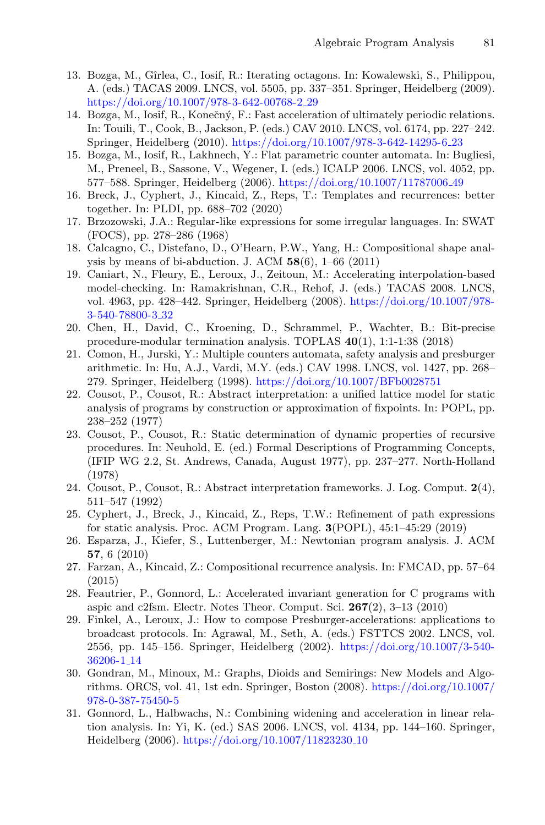- <span id="page-35-15"></span>13. Bozga, M., Gˆırlea, C., Iosif, R.: Iterating octagons. In: Kowalewski, S., Philippou, A. (eds.) TACAS 2009. LNCS, vol. 5505, pp. 337–351. Springer, Heidelberg (2009). [https://doi.org/10.1007/978-3-642-00768-2](https://doi.org/10.1007/978-3-642-00768-2_29) 29
- <span id="page-35-16"></span>14. Bozga, M., Iosif, R., Konečný, F.: Fast acceleration of ultimately periodic relations. In: Touili, T., Cook, B., Jackson, P. (eds.) CAV 2010. LNCS, vol. 6174, pp. 227–242. Springer, Heidelberg (2010). [https://doi.org/10.1007/978-3-642-14295-6](https://doi.org/10.1007/978-3-642-14295-6_23) 23
- <span id="page-35-13"></span>15. Bozga, M., Iosif, R., Lakhnech, Y.: Flat parametric counter automata. In: Bugliesi, M., Preneel, B., Sassone, V., Wegener, I. (eds.) ICALP 2006. LNCS, vol. 4052, pp. 577–588. Springer, Heidelberg (2006). [https://doi.org/10.1007/11787006](https://doi.org/10.1007/11787006_49) 49
- <span id="page-35-18"></span>16. Breck, J., Cyphert, J., Kincaid, Z., Reps, T.: Templates and recurrences: better together. In: PLDI, pp. 688–702 (2020)
- <span id="page-35-7"></span>17. Brzozowski, J.A.: Regular-like expressions for some irregular languages. In: SWAT (FOCS), pp. 278–286 (1968)
- <span id="page-35-0"></span>18. Calcagno, C., Distefano, D., O'Hearn, P.W., Yang, H.: Compositional shape analysis by means of bi-abduction. J. ACM **58**(6), 1–66 (2011)
- <span id="page-35-10"></span>19. Caniart, N., Fleury, E., Leroux, J., Zeitoun, M.: Accelerating interpolation-based model-checking. In: Ramakrishnan, C.R., Rehof, J. (eds.) TACAS 2008. LNCS, vol. 4963, pp. 428–442. Springer, Heidelberg (2008). [https://doi.org/10.1007/978-](https://doi.org/10.1007/978-3-540-78800-3_32) [3-540-78800-3](https://doi.org/10.1007/978-3-540-78800-3_32) 32
- <span id="page-35-11"></span>20. Chen, H., David, C., Kroening, D., Schrammel, P., Wachter, B.: Bit-precise procedure-modular termination analysis. TOPLAS **40**(1), 1:1-1:38 (2018)
- <span id="page-35-14"></span>21. Comon, H., Jurski, Y.: Multiple counters automata, safety analysis and presburger arithmetic. In: Hu, A.J., Vardi, M.Y. (eds.) CAV 1998. LNCS, vol. 1427, pp. 268– 279. Springer, Heidelberg (1998). <https://doi.org/10.1007/BFb0028751>
- <span id="page-35-2"></span>22. Cousot, P., Cousot, R.: Abstract interpretation: a unified lattice model for static analysis of programs by construction or approximation of fixpoints. In: POPL, pp. 238–252 (1977)
- <span id="page-35-5"></span>23. Cousot, P., Cousot, R.: Static determination of dynamic properties of recursive procedures. In: Neuhold, E. (ed.) Formal Descriptions of Programming Concepts, (IFIP WG 2.2, St. Andrews, Canada, August 1977), pp. 237–277. North-Holland (1978)
- <span id="page-35-3"></span>24. Cousot, P., Cousot, R.: Abstract interpretation frameworks. J. Log. Comput. **2**(4), 511–547 (1992)
- <span id="page-35-4"></span>25. Cyphert, J., Breck, J., Kincaid, Z., Reps, T.W.: Refinement of path expressions for static analysis. Proc. ACM Program. Lang. **3**(POPL), 45:1–45:29 (2019)
- <span id="page-35-6"></span>26. Esparza, J., Kiefer, S., Luttenberger, M.: Newtonian program analysis. J. ACM **57**, 6 (2010)
- <span id="page-35-1"></span>27. Farzan, A., Kincaid, Z.: Compositional recurrence analysis. In: FMCAD, pp. 57–64 (2015)
- <span id="page-35-8"></span>28. Feautrier, P., Gonnord, L.: Accelerated invariant generation for C programs with aspic and c2fsm. Electr. Notes Theor. Comput. Sci. **267**(2), 3–13 (2010)
- <span id="page-35-12"></span>29. Finkel, A., Leroux, J.: How to compose Presburger-accelerations: applications to broadcast protocols. In: Agrawal, M., Seth, A. (eds.) FSTTCS 2002. LNCS, vol. 2556, pp. 145–156. Springer, Heidelberg (2002). [https://doi.org/10.1007/3-540-](https://doi.org/10.1007/3-540-36206-1_14) [36206-1](https://doi.org/10.1007/3-540-36206-1_14) 14
- <span id="page-35-17"></span>30. Gondran, M., Minoux, M.: Graphs, Dioids and Semirings: New Models and Algorithms. ORCS, vol. 41, 1st edn. Springer, Boston (2008). [https://doi.org/10.1007/](https://doi.org/10.1007/978-0-387-75450-5) [978-0-387-75450-5](https://doi.org/10.1007/978-0-387-75450-5)
- <span id="page-35-9"></span>31. Gonnord, L., Halbwachs, N.: Combining widening and acceleration in linear relation analysis. In: Yi, K. (ed.) SAS 2006. LNCS, vol. 4134, pp. 144–160. Springer, Heidelberg (2006). [https://doi.org/10.1007/11823230](https://doi.org/10.1007/11823230_10) 10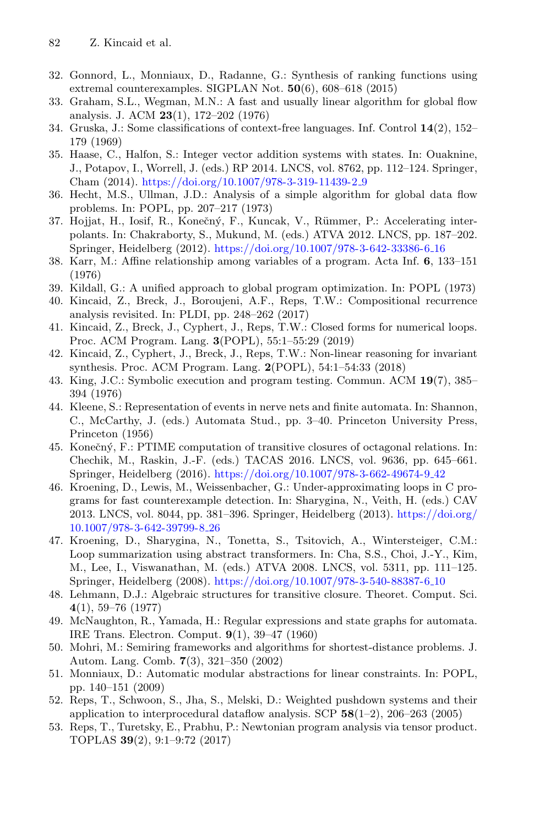- <span id="page-36-9"></span>32. Gonnord, L., Monniaux, D., Radanne, G.: Synthesis of ranking functions using extremal counterexamples. SIGPLAN Not. **50**(6), 608–618 (2015)
- <span id="page-36-10"></span>33. Graham, S.L., Wegman, M.N.: A fast and usually linear algorithm for global flow analysis. J. ACM **23**(1), 172–202 (1976)
- <span id="page-36-8"></span>34. Gruska, J.: Some classifications of context-free languages. Inf. Control **14**(2), 152– 179 (1969)
- <span id="page-36-14"></span>35. Haase, C., Halfon, S.: Integer vector addition systems with states. In: Ouaknine, J., Potapov, I., Worrell, J. (eds.) RP 2014. LNCS, vol. 8762, pp. 112–124. Springer, Cham (2014). [https://doi.org/10.1007/978-3-319-11439-2](https://doi.org/10.1007/978-3-319-11439-2_9) 9
- <span id="page-36-15"></span>36. Hecht, M.S., Ullman, J.D.: Analysis of a simple algorithm for global data flow problems. In: POPL, pp. 207–217 (1973)
- <span id="page-36-11"></span>37. Hojjat, H., Iosif, R., Konečný, F., Kuncak, V., Rümmer, P.: Accelerating interpolants. In: Chakraborty, S., Mukund, M. (eds.) ATVA 2012. LNCS, pp. 187–202. Springer, Heidelberg (2012). [https://doi.org/10.1007/978-3-642-33386-6](https://doi.org/10.1007/978-3-642-33386-6_16) 16
- <span id="page-36-6"></span>38. Karr, M.: Affine relationship among variables of a program. Acta Inf. **6**, 133–151 (1976)
- <span id="page-36-12"></span>39. Kildall, G.: A unified approach to global program optimization. In: POPL (1973)
- <span id="page-36-19"></span>40. Kincaid, Z., Breck, J., Boroujeni, A.F., Reps, T.W.: Compositional recurrence analysis revisited. In: PLDI, pp. 248–262 (2017)
- <span id="page-36-5"></span>41. Kincaid, Z., Breck, J., Cyphert, J., Reps, T.W.: Closed forms for numerical loops. Proc. ACM Program. Lang. **3**(POPL), 55:1–55:29 (2019)
- <span id="page-36-4"></span>42. Kincaid, Z., Cyphert, J., Breck, J., Reps, T.W.: Non-linear reasoning for invariant synthesis. Proc. ACM Program. Lang. **2**(POPL), 54:1–54:33 (2018)
- <span id="page-36-21"></span>43. King, J.C.: Symbolic execution and program testing. Commun. ACM **19**(7), 385– 394 (1976)
- <span id="page-36-1"></span>44. Kleene, S.: Representation of events in nerve nets and finite automata. In: Shannon, C., McCarthy, J. (eds.) Automata Stud., pp. 3–40. Princeton University Press, Princeton (1956)
- <span id="page-36-13"></span>45. Konečný, F.: PTIME computation of transitive closures of octagonal relations. In: Chechik, M., Raskin, J.-F. (eds.) TACAS 2016. LNCS, vol. 9636, pp. 645–661. Springer, Heidelberg (2016). [https://doi.org/10.1007/978-3-662-49674-9](https://doi.org/10.1007/978-3-662-49674-9_42) 42
- <span id="page-36-20"></span>46. Kroening, D., Lewis, M., Weissenbacher, G.: Under-approximating loops in C programs for fast counterexample detection. In: Sharygina, N., Veith, H. (eds.) CAV 2013. LNCS, vol. 8044, pp. 381–396. Springer, Heidelberg (2013). [https://doi.org/](https://doi.org/10.1007/978-3-642-39799-8_26) [10.1007/978-3-642-39799-8](https://doi.org/10.1007/978-3-642-39799-8_26) 26
- <span id="page-36-2"></span>47. Kroening, D., Sharygina, N., Tonetta, S., Tsitovich, A., Wintersteiger, C.M.: Loop summarization using abstract transformers. In: Cha, S.S., Choi, J.-Y., Kim, M., Lee, I., Viswanathan, M. (eds.) ATVA 2008. LNCS, vol. 5311, pp. 111–125. Springer, Heidelberg (2008). [https://doi.org/10.1007/978-3-540-88387-6](https://doi.org/10.1007/978-3-540-88387-6_10) 10
- <span id="page-36-0"></span>48. Lehmann, D.J.: Algebraic structures for transitive closure. Theoret. Comput. Sci. **4**(1), 59–76 (1977)
- <span id="page-36-18"></span>49. McNaughton, R., Yamada, H.: Regular expressions and state graphs for automata. IRE Trans. Electron. Comput. **9**(1), 39–47 (1960)
- <span id="page-36-16"></span>50. Mohri, M.: Semiring frameworks and algorithms for shortest-distance problems. J. Autom. Lang. Comb. **7**(3), 321–350 (2002)
- <span id="page-36-3"></span>51. Monniaux, D.: Automatic modular abstractions for linear constraints. In: POPL, pp. 140–151 (2009)
- <span id="page-36-17"></span>52. Reps, T., Schwoon, S., Jha, S., Melski, D.: Weighted pushdown systems and their application to interprocedural dataflow analysis. SCP **58**(1–2), 206–263 (2005)
- <span id="page-36-7"></span>53. Reps, T., Turetsky, E., Prabhu, P.: Newtonian program analysis via tensor product. TOPLAS **39**(2), 9:1–9:72 (2017)